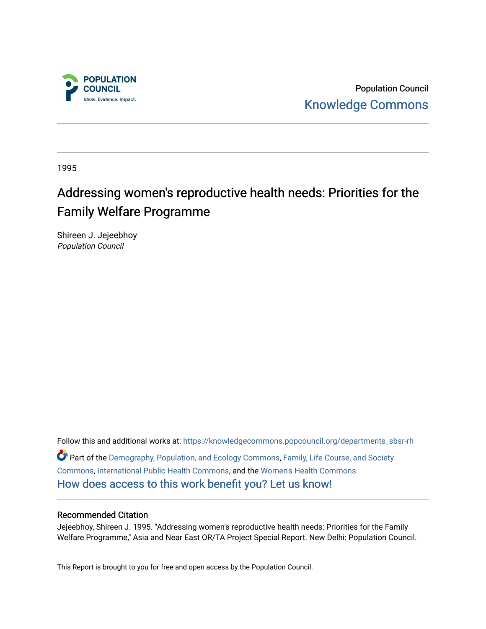

Population Council [Knowledge Commons](https://knowledgecommons.popcouncil.org/) 

1995

## Addressing women's reproductive health needs: Priorities for the Family Welfare Programme

Shireen J. Jejeebhoy Population Council

Follow this and additional works at: [https://knowledgecommons.popcouncil.org/departments\\_sbsr-rh](https://knowledgecommons.popcouncil.org/departments_sbsr-rh?utm_source=knowledgecommons.popcouncil.org%2Fdepartments_sbsr-rh%2F2098&utm_medium=PDF&utm_campaign=PDFCoverPages)  Part of the [Demography, Population, and Ecology Commons,](https://network.bepress.com/hgg/discipline/418?utm_source=knowledgecommons.popcouncil.org%2Fdepartments_sbsr-rh%2F2098&utm_medium=PDF&utm_campaign=PDFCoverPages) [Family, Life Course, and Society](https://network.bepress.com/hgg/discipline/419?utm_source=knowledgecommons.popcouncil.org%2Fdepartments_sbsr-rh%2F2098&utm_medium=PDF&utm_campaign=PDFCoverPages)  [Commons](https://network.bepress.com/hgg/discipline/419?utm_source=knowledgecommons.popcouncil.org%2Fdepartments_sbsr-rh%2F2098&utm_medium=PDF&utm_campaign=PDFCoverPages), [International Public Health Commons,](https://network.bepress.com/hgg/discipline/746?utm_source=knowledgecommons.popcouncil.org%2Fdepartments_sbsr-rh%2F2098&utm_medium=PDF&utm_campaign=PDFCoverPages) and the [Women's Health Commons](https://network.bepress.com/hgg/discipline/1241?utm_source=knowledgecommons.popcouncil.org%2Fdepartments_sbsr-rh%2F2098&utm_medium=PDF&utm_campaign=PDFCoverPages)  [How does access to this work benefit you? Let us know!](https://pcouncil.wufoo.com/forms/open-access-to-population-council-research/)

#### Recommended Citation

Jejeebhoy, Shireen J. 1995. "Addressing women's reproductive health needs: Priorities for the Family Welfare Programme," Asia and Near East OR/TA Project Special Report. New Delhi: Population Council.

This Report is brought to you for free and open access by the Population Council.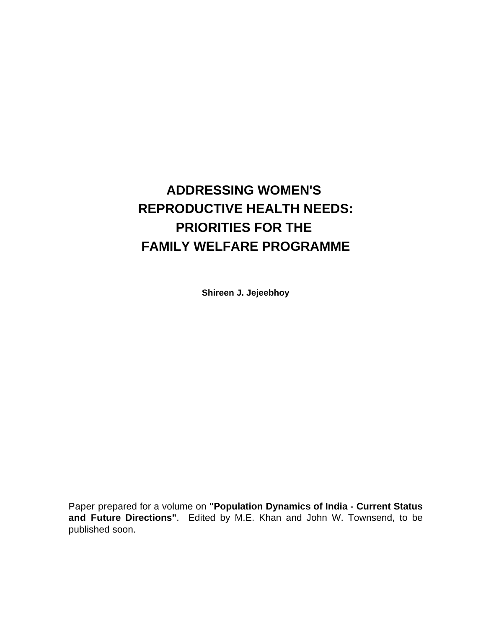# **ADDRESSING WOMEN'S REPRODUCTIVE HEALTH NEEDS: PRIORITIES FOR THE FAMILY WELFARE PROGRAMME**

**Shireen J. Jejeebhoy**

Paper prepared for a volume on **"Population Dynamics of India - Current Status and Future Directions"**. Edited by M.E. Khan and John W. Townsend, to be published soon.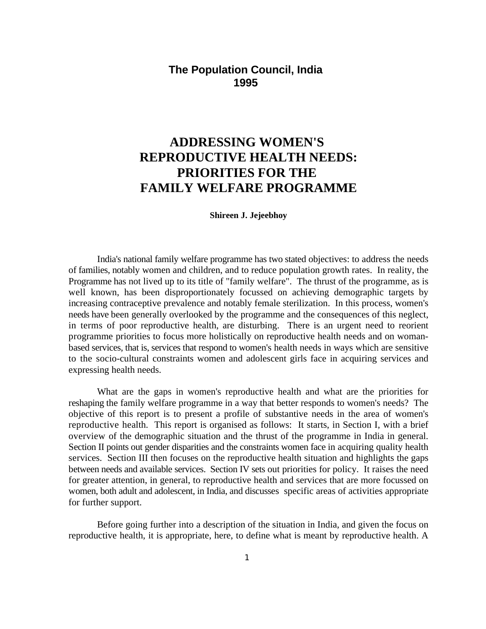### **The Population Council, India 1995**

## **ADDRESSING WOMEN'S REPRODUCTIVE HEALTH NEEDS: PRIORITIES FOR THE FAMILY WELFARE PROGRAMME**

**Shireen J. Jejeebhoy**

India's national family welfare programme has two stated objectives: to address the needs of families, notably women and children, and to reduce population growth rates. In reality, the Programme has not lived up to its title of "family welfare". The thrust of the programme, as is well known, has been disproportionately focussed on achieving demographic targets by increasing contraceptive prevalence and notably female sterilization. In this process, women's needs have been generally overlooked by the programme and the consequences of this neglect, in terms of poor reproductive health, are disturbing. There is an urgent need to reorient programme priorities to focus more holistically on reproductive health needs and on womanbased services, that is, services that respond to women's health needs in ways which are sensitive to the socio-cultural constraints women and adolescent girls face in acquiring services and expressing health needs.

What are the gaps in women's reproductive health and what are the priorities for reshaping the family welfare programme in a way that better responds to women's needs? The objective of this report is to present a profile of substantive needs in the area of women's reproductive health. This report is organised as follows: It starts, in Section I, with a brief overview of the demographic situation and the thrust of the programme in India in general. Section II points out gender disparities and the constraints women face in acquiring quality health services. Section III then focuses on the reproductive health situation and highlights the gaps between needs and available services. Section IV sets out priorities for policy. It raises the need for greater attention, in general, to reproductive health and services that are more focussed on women, both adult and adolescent, in India, and discusses specific areas of activities appropriate for further support.

Before going further into a description of the situation in India, and given the focus on reproductive health, it is appropriate, here, to define what is meant by reproductive health. A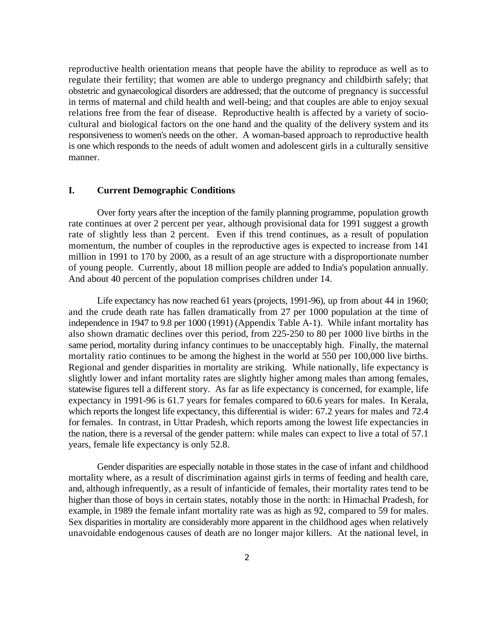reproductive health orientation means that people have the ability to reproduce as well as to regulate their fertility; that women are able to undergo pregnancy and childbirth safely; that obstetric and gynaecological disorders are addressed; that the outcome of pregnancy is successful in terms of maternal and child health and well-being; and that couples are able to enjoy sexual relations free from the fear of disease. Reproductive health is affected by a variety of sociocultural and biological factors on the one hand and the quality of the delivery system and its responsiveness to women's needs on the other. A woman-based approach to reproductive health is one which responds to the needs of adult women and adolescent girls in a culturally sensitive manner.

#### **I. Current Demographic Conditions**

Over forty years after the inception of the family planning programme, population growth rate continues at over 2 percent per year, although provisional data for 1991 suggest a growth rate of slightly less than 2 percent. Even if this trend continues, as a result of population momentum, the number of couples in the reproductive ages is expected to increase from 141 million in 1991 to 170 by 2000, as a result of an age structure with a disproportionate number of young people. Currently, about 18 million people are added to India's population annually. And about 40 percent of the population comprises children under 14.

Life expectancy has now reached 61 years (projects, 1991-96), up from about 44 in 1960; and the crude death rate has fallen dramatically from 27 per 1000 population at the time of independence in 1947 to 9.8 per 1000 (1991) (Appendix Table A-1). While infant mortality has also shown dramatic declines over this period, from 225-250 to 80 per 1000 live births in the same period, mortality during infancy continues to be unacceptably high. Finally, the maternal mortality ratio continues to be among the highest in the world at 550 per 100,000 live births. Regional and gender disparities in mortality are striking. While nationally, life expectancy is slightly lower and infant mortality rates are slightly higher among males than among females, statewise figures tell a different story. As far as life expectancy is concerned, for example, life expectancy in 1991-96 is 61.7 years for females compared to 60.6 years for males. In Kerala, which reports the longest life expectancy, this differential is wider: 67.2 years for males and 72.4 for females. In contrast, in Uttar Pradesh, which reports among the lowest life expectancies in the nation, there is a reversal of the gender pattern: while males can expect to live a total of 57.1 years, female life expectancy is only 52.8.

Gender disparities are especially notable in those states in the case of infant and childhood mortality where, as a result of discrimination against girls in terms of feeding and health care, and, although infrequently, as a result of infanticide of females, their mortality rates tend to be higher than those of boys in certain states, notably those in the north: in Himachal Pradesh, for example, in 1989 the female infant mortality rate was as high as 92, compared to 59 for males. Sex disparities in mortality are considerably more apparent in the childhood ages when relatively unavoidable endogenous causes of death are no longer major killers. At the national level, in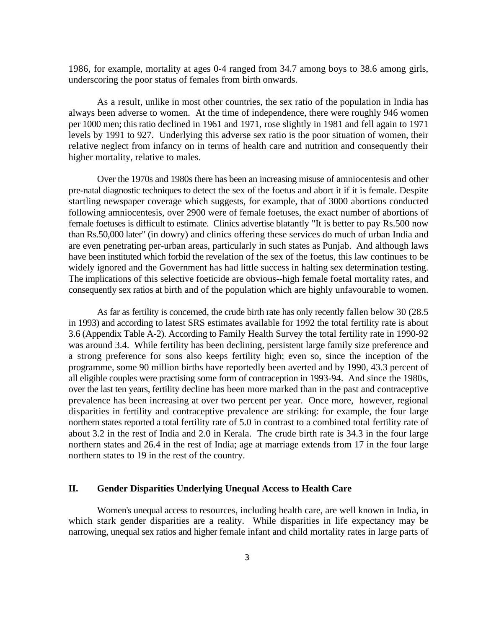1986, for example, mortality at ages 0-4 ranged from 34.7 among boys to 38.6 among girls, underscoring the poor status of females from birth onwards.

As a result, unlike in most other countries, the sex ratio of the population in India has always been adverse to women. At the time of independence, there were roughly 946 women per 1000 men; this ratio declined in 1961 and 1971, rose slightly in 1981 and fell again to 1971 levels by 1991 to 927. Underlying this adverse sex ratio is the poor situation of women, their relative neglect from infancy on in terms of health care and nutrition and consequently their higher mortality, relative to males.

Over the 1970s and 1980s there has been an increasing misuse of amniocentesis and other pre-natal diagnostic techniques to detect the sex of the foetus and abort it if it is female. Despite startling newspaper coverage which suggests, for example, that of 3000 abortions conducted following amniocentesis, over 2900 were of female foetuses, the exact number of abortions of female foetuses is difficult to estimate. Clinics advertise blatantly "It is better to pay Rs.500 now than Rs.50,000 later" (in dowry) and clinics offering these services do much of urban India and are even penetrating per-urban areas, particularly in such states as Punjab. And although laws have been instituted which forbid the revelation of the sex of the foetus, this law continues to be widely ignored and the Government has had little success in halting sex determination testing. The implications of this selective foeticide are obvious--high female foetal mortality rates, and consequently sex ratios at birth and of the population which are highly unfavourable to women.

As far as fertility is concerned, the crude birth rate has only recently fallen below 30 (28.5 in 1993) and according to latest SRS estimates available for 1992 the total fertility rate is about 3.6 (Appendix Table A-2). According to Family Health Survey the total fertility rate in 1990-92 was around 3.4. While fertility has been declining, persistent large family size preference and a strong preference for sons also keeps fertility high; even so, since the inception of the programme, some 90 million births have reportedly been averted and by 1990, 43.3 percent of all eligible couples were practising some form of contraception in 1993-94. And since the 1980s, over the last ten years, fertility decline has been more marked than in the past and contraceptive prevalence has been increasing at over two percent per year. Once more, however, regional disparities in fertility and contraceptive prevalence are striking: for example, the four large northern states reported a total fertility rate of 5.0 in contrast to a combined total fertility rate of about 3.2 in the rest of India and 2.0 in Kerala. The crude birth rate is 34.3 in the four large northern states and 26.4 in the rest of India; age at marriage extends from 17 in the four large northern states to 19 in the rest of the country.

#### **II. Gender Disparities Underlying Unequal Access to Health Care**

Women's unequal access to resources, including health care, are well known in India, in which stark gender disparities are a reality. While disparities in life expectancy may be narrowing, unequal sex ratios and higher female infant and child mortality rates in large parts of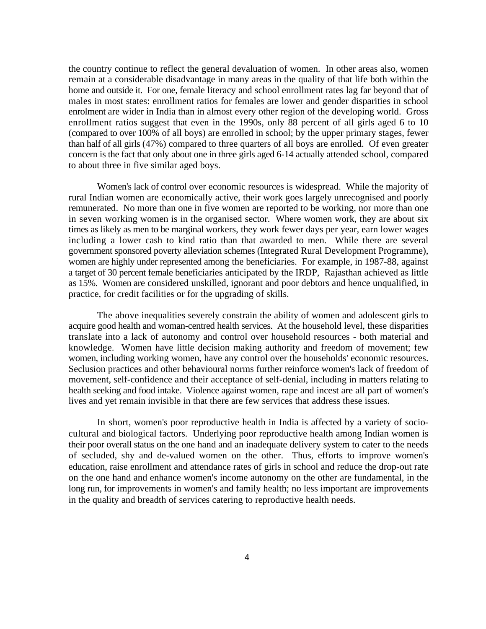the country continue to reflect the general devaluation of women. In other areas also, women remain at a considerable disadvantage in many areas in the quality of that life both within the home and outside it. For one, female literacy and school enrollment rates lag far beyond that of males in most states: enrollment ratios for females are lower and gender disparities in school enrolment are wider in India than in almost every other region of the developing world. Gross enrollment ratios suggest that even in the 1990s, only 88 percent of all girls aged 6 to 10 (compared to over 100% of all boys) are enrolled in school; by the upper primary stages, fewer than half of all girls (47%) compared to three quarters of all boys are enrolled. Of even greater concern is the fact that only about one in three girls aged 6-14 actually attended school, compared to about three in five similar aged boys.

Women's lack of control over economic resources is widespread. While the majority of rural Indian women are economically active, their work goes largely unrecognised and poorly remunerated. No more than one in five women are reported to be working, nor more than one in seven working women is in the organised sector. Where women work, they are about six times as likely as men to be marginal workers, they work fewer days per year, earn lower wages including a lower cash to kind ratio than that awarded to men. While there are several government sponsored poverty alleviation schemes (Integrated Rural Development Programme), women are highly under represented among the beneficiaries. For example, in 1987-88, against a target of 30 percent female beneficiaries anticipated by the IRDP, Rajasthan achieved as little as 15%. Women are considered unskilled, ignorant and poor debtors and hence unqualified, in practice, for credit facilities or for the upgrading of skills.

The above inequalities severely constrain the ability of women and adolescent girls to acquire good health and woman-centred health services. At the household level, these disparities translate into a lack of autonomy and control over household resources - both material and knowledge. Women have little decision making authority and freedom of movement; few women, including working women, have any control over the households' economic resources. Seclusion practices and other behavioural norms further reinforce women's lack of freedom of movement, self-confidence and their acceptance of self-denial, including in matters relating to health seeking and food intake. Violence against women, rape and incest are all part of women's lives and yet remain invisible in that there are few services that address these issues.

In short, women's poor reproductive health in India is affected by a variety of sociocultural and biological factors. Underlying poor reproductive health among Indian women is their poor overall status on the one hand and an inadequate delivery system to cater to the needs of secluded, shy and de-valued women on the other. Thus, efforts to improve women's education, raise enrollment and attendance rates of girls in school and reduce the drop-out rate on the one hand and enhance women's income autonomy on the other are fundamental, in the long run, for improvements in women's and family health; no less important are improvements in the quality and breadth of services catering to reproductive health needs.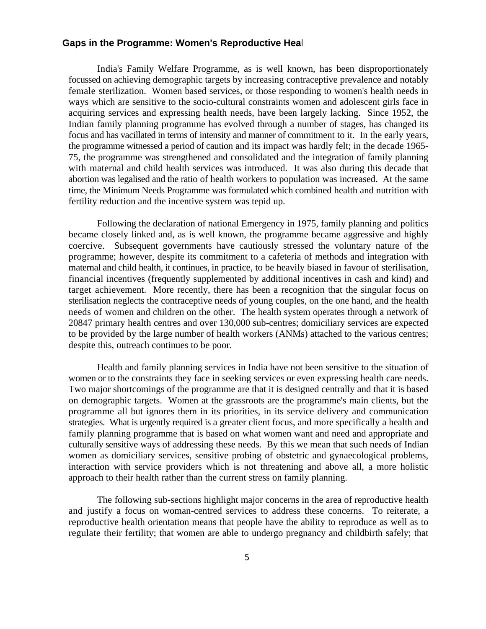#### Gaps in the Programme: Women's Reproductive Heal

India's Family Welfare Programme, as is well known, has been disproportionately focussed on achieving demographic targets by increasing contraceptive prevalence and notably female sterilization. Women based services, or those responding to women's health needs in ways which are sensitive to the socio-cultural constraints women and adolescent girls face in acquiring services and expressing health needs, have been largely lacking. Since 1952, the Indian family planning programme has evolved through a number of stages, has changed its focus and has vacillated in terms of intensity and manner of commitment to it. In the early years, the programme witnessed a period of caution and its impact was hardly felt; in the decade 1965- 75, the programme was strengthened and consolidated and the integration of family planning with maternal and child health services was introduced. It was also during this decade that abortion was legalised and the ratio of health workers to population was increased. At the same time, the Minimum Needs Programme was formulated which combined health and nutrition with fertility reduction and the incentive system was tepid up.

Following the declaration of national Emergency in 1975, family planning and politics became closely linked and, as is well known, the programme became aggressive and highly coercive. Subsequent governments have cautiously stressed the voluntary nature of the programme; however, despite its commitment to a cafeteria of methods and integration with maternal and child health, it continues, in practice, to be heavily biased in favour of sterilisation, financial incentives (frequently supplemented by additional incentives in cash and kind) and target achievement. More recently, there has been a recognition that the singular focus on sterilisation neglects the contraceptive needs of young couples, on the one hand, and the health needs of women and children on the other. The health system operates through a network of 20847 primary health centres and over 130,000 sub-centres; domiciliary services are expected to be provided by the large number of health workers (ANMs) attached to the various centres; despite this, outreach continues to be poor.

Health and family planning services in India have not been sensitive to the situation of women or to the constraints they face in seeking services or even expressing health care needs. Two major shortcomings of the programme are that it is designed centrally and that it is based on demographic targets. Women at the grassroots are the programme's main clients, but the programme all but ignores them in its priorities, in its service delivery and communication strategies. What is urgently required is a greater client focus, and more specifically a health and family planning programme that is based on what women want and need and appropriate and culturally sensitive ways of addressing these needs. By this we mean that such needs of Indian women as domiciliary services, sensitive probing of obstetric and gynaecological problems, interaction with service providers which is not threatening and above all, a more holistic approach to their health rather than the current stress on family planning.

The following sub-sections highlight major concerns in the area of reproductive health and justify a focus on woman-centred services to address these concerns. To reiterate, a reproductive health orientation means that people have the ability to reproduce as well as to regulate their fertility; that women are able to undergo pregnancy and childbirth safely; that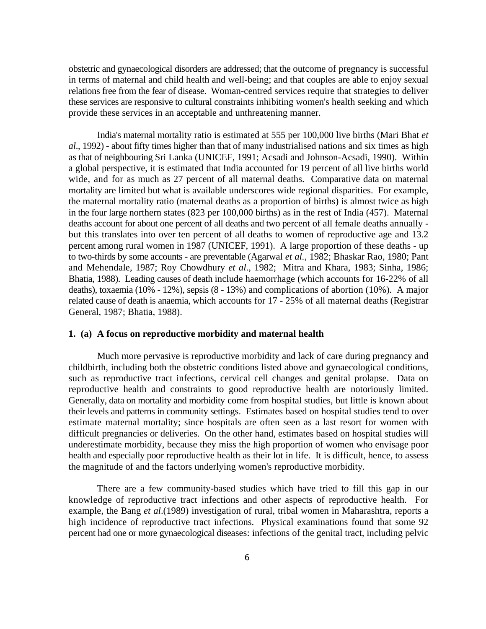obstetric and gynaecological disorders are addressed; that the outcome of pregnancy is successful in terms of maternal and child health and well-being; and that couples are able to enjoy sexual relations free from the fear of disease. Woman-centred services require that strategies to deliver these services are responsive to cultural constraints inhibiting women's health seeking and which provide these services in an acceptable and unthreatening manner.

India's maternal mortality ratio is estimated at 555 per 100,000 live births (Mari Bhat *et al*., 1992) - about fifty times higher than that of many industrialised nations and six times as high as that of neighbouring Sri Lanka (UNICEF, 1991; Acsadi and Johnson-Acsadi, 1990). Within a global perspective, it is estimated that India accounted for 19 percent of all live births world wide, and for as much as 27 percent of all maternal deaths. Comparative data on maternal mortality are limited but what is available underscores wide regional disparities. For example, the maternal mortality ratio (maternal deaths as a proportion of births) is almost twice as high in the four large northern states (823 per 100,000 births) as in the rest of India (457). Maternal deaths account for about one percent of all deaths and two percent of all female deaths annually but this translates into over ten percent of all deaths to women of reproductive age and 13.2 percent among rural women in 1987 (UNICEF, 1991). A large proportion of these deaths - up to two-thirds by some accounts - are preventable (Agarwal *et al.,* 1982; Bhaskar Rao, 1980; Pant and Mehendale, 1987; Roy Chowdhury *et al*., 1982; Mitra and Khara, 1983; Sinha, 1986; Bhatia, 1988). Leading causes of death include haemorrhage (which accounts for 16-22% of all deaths), toxaemia (10% - 12%), sepsis (8 - 13%) and complications of abortion (10%). A major related cause of death is anaemia, which accounts for 17 - 25% of all maternal deaths (Registrar General, 1987; Bhatia, 1988).

#### **1. (a) A focus on reproductive morbidity and maternal health**

Much more pervasive is reproductive morbidity and lack of care during pregnancy and childbirth, including both the obstetric conditions listed above and gynaecological conditions, such as reproductive tract infections, cervical cell changes and genital prolapse. Data on reproductive health and constraints to good reproductive health are notoriously limited. Generally, data on mortality and morbidity come from hospital studies, but little is known about their levels and patterns in community settings. Estimates based on hospital studies tend to over estimate maternal mortality; since hospitals are often seen as a last resort for women with difficult pregnancies or deliveries. On the other hand, estimates based on hospital studies will underestimate morbidity, because they miss the high proportion of women who envisage poor health and especially poor reproductive health as their lot in life. It is difficult, hence, to assess the magnitude of and the factors underlying women's reproductive morbidity.

There are a few community-based studies which have tried to fill this gap in our knowledge of reproductive tract infections and other aspects of reproductive health. For example, the Bang *et al*.(1989) investigation of rural, tribal women in Maharashtra, reports a high incidence of reproductive tract infections. Physical examinations found that some 92 percent had one or more gynaecological diseases: infections of the genital tract, including pelvic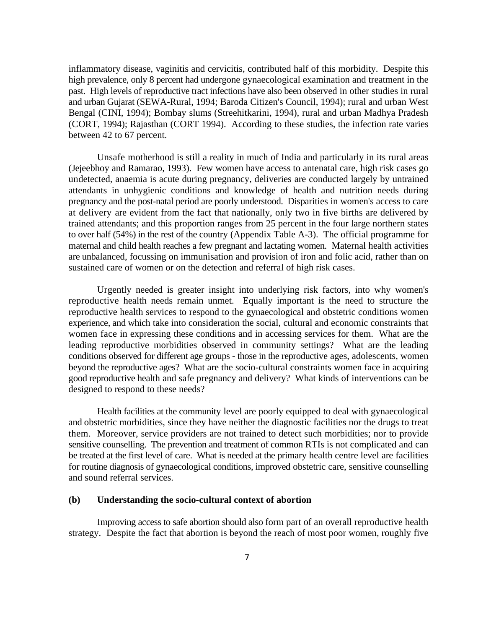inflammatory disease, vaginitis and cervicitis, contributed half of this morbidity. Despite this high prevalence, only 8 percent had undergone gynaecological examination and treatment in the past. High levels of reproductive tract infections have also been observed in other studies in rural and urban Gujarat (SEWA-Rural, 1994; Baroda Citizen's Council, 1994); rural and urban West Bengal (CINI, 1994); Bombay slums (Streehitkarini, 1994), rural and urban Madhya Pradesh (CORT, 1994); Rajasthan (CORT 1994). According to these studies, the infection rate varies between 42 to 67 percent.

Unsafe motherhood is still a reality in much of India and particularly in its rural areas (Jejeebhoy and Ramarao, 1993). Few women have access to antenatal care, high risk cases go undetected, anaemia is acute during pregnancy, deliveries are conducted largely by untrained attendants in unhygienic conditions and knowledge of health and nutrition needs during pregnancy and the post-natal period are poorly understood. Disparities in women's access to care at delivery are evident from the fact that nationally, only two in five births are delivered by trained attendants; and this proportion ranges from 25 percent in the four large northern states to over half (54%) in the rest of the country (Appendix Table A-3). The official programme for maternal and child health reaches a few pregnant and lactating women. Maternal health activities are unbalanced, focussing on immunisation and provision of iron and folic acid, rather than on sustained care of women or on the detection and referral of high risk cases.

Urgently needed is greater insight into underlying risk factors, into why women's reproductive health needs remain unmet. Equally important is the need to structure the reproductive health services to respond to the gynaecological and obstetric conditions women experience, and which take into consideration the social, cultural and economic constraints that women face in expressing these conditions and in accessing services for them. What are the leading reproductive morbidities observed in community settings? What are the leading conditions observed for different age groups - those in the reproductive ages, adolescents, women beyond the reproductive ages? What are the socio-cultural constraints women face in acquiring good reproductive health and safe pregnancy and delivery? What kinds of interventions can be designed to respond to these needs?

Health facilities at the community level are poorly equipped to deal with gynaecological and obstetric morbidities, since they have neither the diagnostic facilities nor the drugs to treat them. Moreover, service providers are not trained to detect such morbidities; nor to provide sensitive counselling. The prevention and treatment of common RTIs is not complicated and can be treated at the first level of care. What is needed at the primary health centre level are facilities for routine diagnosis of gynaecological conditions, improved obstetric care, sensitive counselling and sound referral services.

#### **(b) Understanding the socio-cultural context of abortion**

Improving access to safe abortion should also form part of an overall reproductive health strategy. Despite the fact that abortion is beyond the reach of most poor women, roughly five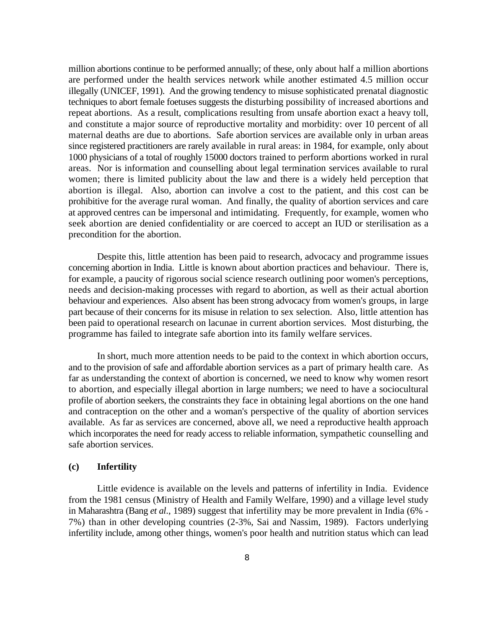million abortions continue to be performed annually; of these, only about half a million abortions are performed under the health services network while another estimated 4.5 million occur illegally (UNICEF, 1991). And the growing tendency to misuse sophisticated prenatal diagnostic techniques to abort female foetuses suggests the disturbing possibility of increased abortions and repeat abortions. As a result, complications resulting from unsafe abortion exact a heavy toll, and constitute a major source of reproductive mortality and morbidity: over 10 percent of all maternal deaths are due to abortions. Safe abortion services are available only in urban areas since registered practitioners are rarely available in rural areas: in 1984, for example, only about 1000 physicians of a total of roughly 15000 doctors trained to perform abortions worked in rural areas. Nor is information and counselling about legal termination services available to rural women; there is limited publicity about the law and there is a widely held perception that abortion is illegal. Also, abortion can involve a cost to the patient, and this cost can be prohibitive for the average rural woman. And finally, the quality of abortion services and care at approved centres can be impersonal and intimidating. Frequently, for example, women who seek abortion are denied confidentiality or are coerced to accept an IUD or sterilisation as a precondition for the abortion.

Despite this, little attention has been paid to research, advocacy and programme issues concerning abortion in India. Little is known about abortion practices and behaviour. There is, for example, a paucity of rigorous social science research outlining poor women's perceptions, needs and decision-making processes with regard to abortion, as well as their actual abortion behaviour and experiences. Also absent has been strong advocacy from women's groups, in large part because of their concerns for its misuse in relation to sex selection. Also, little attention has been paid to operational research on lacunae in current abortion services. Most disturbing, the programme has failed to integrate safe abortion into its family welfare services.

In short, much more attention needs to be paid to the context in which abortion occurs, and to the provision of safe and affordable abortion services as a part of primary health care. As far as understanding the context of abortion is concerned, we need to know why women resort to abortion, and especially illegal abortion in large numbers; we need to have a sociocultural profile of abortion seekers, the constraints they face in obtaining legal abortions on the one hand and contraception on the other and a woman's perspective of the quality of abortion services available. As far as services are concerned, above all, we need a reproductive health approach which incorporates the need for ready access to reliable information, sympathetic counselling and safe abortion services.

#### **(c) Infertility**

Little evidence is available on the levels and patterns of infertility in India. Evidence from the 1981 census (Ministry of Health and Family Welfare, 1990) and a village level study in Maharashtra (Bang *et al*., 1989) suggest that infertility may be more prevalent in India (6% - 7%) than in other developing countries (2-3%, Sai and Nassim, 1989). Factors underlying infertility include, among other things, women's poor health and nutrition status which can lead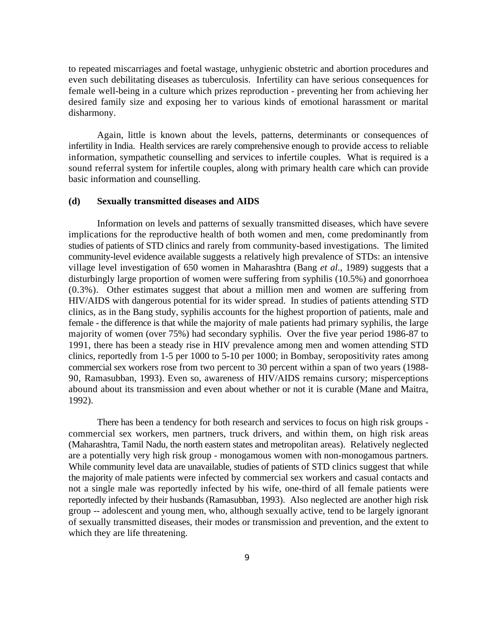to repeated miscarriages and foetal wastage, unhygienic obstetric and abortion procedures and even such debilitating diseases as tuberculosis. Infertility can have serious consequences for female well-being in a culture which prizes reproduction - preventing her from achieving her desired family size and exposing her to various kinds of emotional harassment or marital disharmony.

Again, little is known about the levels, patterns, determinants or consequences of infertility in India. Health services are rarely comprehensive enough to provide access to reliable information, sympathetic counselling and services to infertile couples. What is required is a sound referral system for infertile couples, along with primary health care which can provide basic information and counselling.

#### **(d) Sexually transmitted diseases and AIDS**

Information on levels and patterns of sexually transmitted diseases, which have severe implications for the reproductive health of both women and men, come predominantly from studies of patients of STD clinics and rarely from community-based investigations. The limited community-level evidence available suggests a relatively high prevalence of STDs: an intensive village level investigation of 650 women in Maharashtra (Bang *et al*., 1989) suggests that a disturbingly large proportion of women were suffering from syphilis (10.5%) and gonorrhoea (0.3%). Other estimates suggest that about a million men and women are suffering from HIV/AIDS with dangerous potential for its wider spread. In studies of patients attending STD clinics, as in the Bang study, syphilis accounts for the highest proportion of patients, male and female - the difference is that while the majority of male patients had primary syphilis, the large majority of women (over 75%) had secondary syphilis. Over the five year period 1986-87 to 1991, there has been a steady rise in HIV prevalence among men and women attending STD clinics, reportedly from 1-5 per 1000 to 5-10 per 1000; in Bombay, seropositivity rates among commercial sex workers rose from two percent to 30 percent within a span of two years (1988- 90, Ramasubban, 1993). Even so, awareness of HIV/AIDS remains cursory; misperceptions abound about its transmission and even about whether or not it is curable (Mane and Maitra, 1992).

There has been a tendency for both research and services to focus on high risk groups commercial sex workers, men partners, truck drivers, and within them, on high risk areas (Maharashtra, Tamil Nadu, the north eastern states and metropolitan areas). Relatively neglected are a potentially very high risk group - monogamous women with non-monogamous partners. While community level data are unavailable, studies of patients of STD clinics suggest that while the majority of male patients were infected by commercial sex workers and casual contacts and not a single male was reportedly infected by his wife, one-third of all female patients were reportedly infected by their husbands (Ramasubban, 1993). Also neglected are another high risk group -- adolescent and young men, who, although sexually active, tend to be largely ignorant of sexually transmitted diseases, their modes or transmission and prevention, and the extent to which they are life threatening.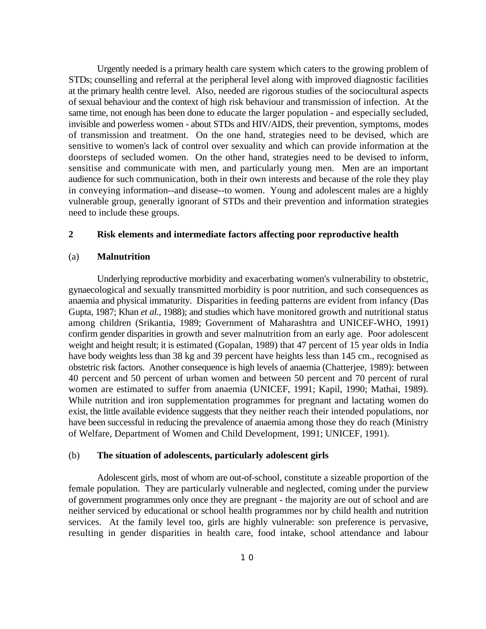Urgently needed is a primary health care system which caters to the growing problem of STDs; counselling and referral at the peripheral level along with improved diagnostic facilities at the primary health centre level. Also, needed are rigorous studies of the sociocultural aspects of sexual behaviour and the context of high risk behaviour and transmission of infection. At the same time, not enough has been done to educate the larger population - and especially secluded, invisible and powerless women - about STDs and HIV/AIDS, their prevention, symptoms, modes of transmission and treatment. On the one hand, strategies need to be devised, which are sensitive to women's lack of control over sexuality and which can provide information at the doorsteps of secluded women. On the other hand, strategies need to be devised to inform, sensitise and communicate with men, and particularly young men. Men are an important audience for such communication, both in their own interests and because of the role they play in conveying information--and disease--to women. Young and adolescent males are a highly vulnerable group, generally ignorant of STDs and their prevention and information strategies need to include these groups.

#### **2 Risk elements and intermediate factors affecting poor reproductive health**

#### (a) **Malnutrition**

Underlying reproductive morbidity and exacerbating women's vulnerability to obstetric, gynaecological and sexually transmitted morbidity is poor nutrition, and such consequences as anaemia and physical immaturity. Disparities in feeding patterns are evident from infancy (Das Gupta, 1987; Khan *et al.*, 1988); and studies which have monitored growth and nutritional status among children (Srikantia, 1989; Government of Maharashtra and UNICEF-WHO, 1991) confirm gender disparities in growth and sever malnutrition from an early age. Poor adolescent weight and height result; it is estimated (Gopalan, 1989) that 47 percent of 15 year olds in India have body weights less than 38 kg and 39 percent have heights less than 145 cm., recognised as obstetric risk factors. Another consequence is high levels of anaemia (Chatterjee, 1989): between 40 percent and 50 percent of urban women and between 50 percent and 70 percent of rural women are estimated to suffer from anaemia (UNICEF, 1991; Kapil, 1990; Mathai, 1989). While nutrition and iron supplementation programmes for pregnant and lactating women do exist, the little available evidence suggests that they neither reach their intended populations, nor have been successful in reducing the prevalence of anaemia among those they do reach (Ministry of Welfare, Department of Women and Child Development, 1991; UNICEF, 1991).

#### (b) **The situation of adolescents, particularly adolescent girls**

Adolescent girls, most of whom are out-of-school, constitute a sizeable proportion of the female population. They are particularly vulnerable and neglected, coming under the purview of government programmes only once they are pregnant - the majority are out of school and are neither serviced by educational or school health programmes nor by child health and nutrition services. At the family level too, girls are highly vulnerable: son preference is pervasive, resulting in gender disparities in health care, food intake, school attendance and labour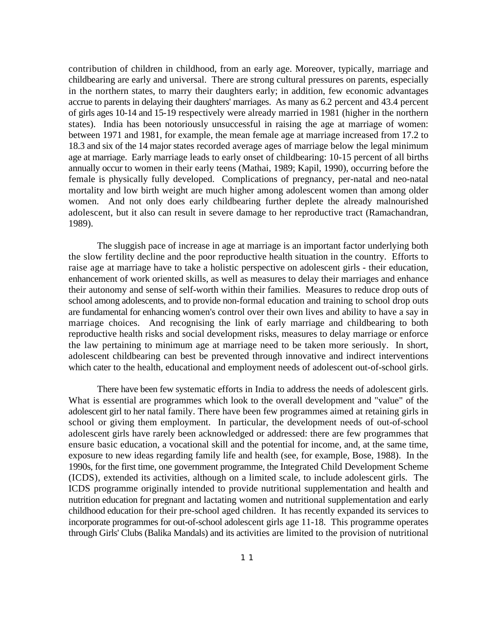contribution of children in childhood, from an early age. Moreover, typically, marriage and childbearing are early and universal. There are strong cultural pressures on parents, especially in the northern states, to marry their daughters early; in addition, few economic advantages accrue to parents in delaying their daughters' marriages. As many as 6.2 percent and 43.4 percent of girls ages 10-14 and 15-19 respectively were already married in 1981 (higher in the northern states). India has been notoriously unsuccessful in raising the age at marriage of women: between 1971 and 1981, for example, the mean female age at marriage increased from 17.2 to 18.3 and six of the 14 major states recorded average ages of marriage below the legal minimum age at marriage. Early marriage leads to early onset of childbearing: 10-15 percent of all births annually occur to women in their early teens (Mathai, 1989; Kapil, 1990), occurring before the female is physically fully developed. Complications of pregnancy, per-natal and neo-natal mortality and low birth weight are much higher among adolescent women than among older women. And not only does early childbearing further deplete the already malnourished adolescent, but it also can result in severe damage to her reproductive tract (Ramachandran, 1989).

The sluggish pace of increase in age at marriage is an important factor underlying both the slow fertility decline and the poor reproductive health situation in the country. Efforts to raise age at marriage have to take a holistic perspective on adolescent girls - their education, enhancement of work oriented skills, as well as measures to delay their marriages and enhance their autonomy and sense of self-worth within their families. Measures to reduce drop outs of school among adolescents, and to provide non-formal education and training to school drop outs are fundamental for enhancing women's control over their own lives and ability to have a say in marriage choices. And recognising the link of early marriage and childbearing to both reproductive health risks and social development risks, measures to delay marriage or enforce the law pertaining to minimum age at marriage need to be taken more seriously. In short, adolescent childbearing can best be prevented through innovative and indirect interventions which cater to the health, educational and employment needs of adolescent out-of-school girls.

There have been few systematic efforts in India to address the needs of adolescent girls. What is essential are programmes which look to the overall development and "value" of the adolescent girl to her natal family. There have been few programmes aimed at retaining girls in school or giving them employment. In particular, the development needs of out-of-school adolescent girls have rarely been acknowledged or addressed: there are few programmes that ensure basic education, a vocational skill and the potential for income, and, at the same time, exposure to new ideas regarding family life and health (see, for example, Bose, 1988). In the 1990s, for the first time, one government programme, the Integrated Child Development Scheme (ICDS), extended its activities, although on a limited scale, to include adolescent girls. The ICDS programme originally intended to provide nutritional supplementation and health and nutrition education for pregnant and lactating women and nutritional supplementation and early childhood education for their pre-school aged children. It has recently expanded its services to incorporate programmes for out-of-school adolescent girls age 11-18. This programme operates through Girls' Clubs (Balika Mandals) and its activities are limited to the provision of nutritional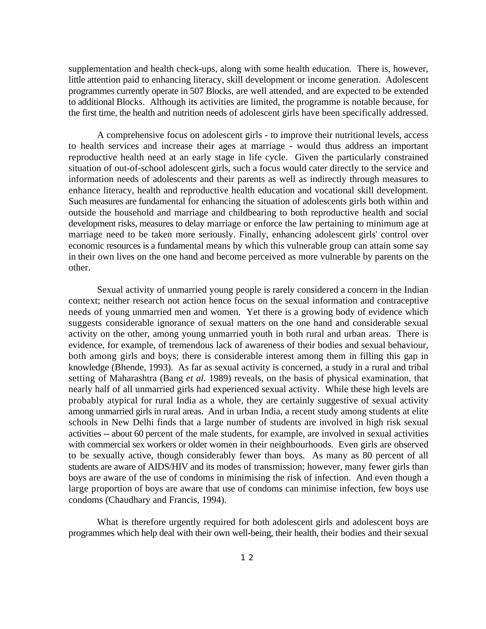supplementation and health check-ups, along with some health education. There is, however, little attention paid to enhancing literacy, skill development or income generation. Adolescent programmes currently operate in 507 Blocks, are well attended, and are expected to be extended to additional Blocks. Although its activities are limited, the programme is notable because, for the first time, the health and nutrition needs of adolescent girls have been specifically addressed.

A comprehensive focus on adolescent girls - to improve their nutritional levels, access to health services and increase their ages at marriage - would thus address an important reproductive health need at an early stage in life cycle. Given the particularly constrained situation of out-of-school adolescent girls, such a focus would cater directly to the service and information needs of adolescents and their parents as well as indirectly through measures to enhance literacy, health and reproductive health education and vocational skill development. Such measures are fundamental for enhancing the situation of adolescents girls both within and outside the household and marriage and childbearing to both reproductive health and social development risks, measures to delay marriage or enforce the law pertaining to minimum age at marriage need to be taken more seriously. Finally, enhancing adolescent girls' control over economic resources is a fundamental means by which this vulnerable group can attain some say in their own lives on the one hand and become perceived as more vulnerable by parents on the other.

Sexual activity of unmarried young people is rarely considered a concern in the Indian context; neither research not action hence focus on the sexual information and contraceptive needs of young unmarried men and women. Yet there is a growing body of evidence which suggests considerable ignorance of sexual matters on the one hand and considerable sexual activity on the other, among young unmarried youth in both rural and urban areas. There is evidence, for example, of tremendous lack of awareness of their bodies and sexual behaviour, both among girls and boys; there is considerable interest among them in filling this gap in knowledge (Bhende, 1993). As far as sexual activity is concerned, a study in a rural and tribal setting of Maharashtra (Bang *et al.* 1989) reveals, on the basis of physical examination, that nearly half of all unmarried girls had experienced sexual activity. While these high levels are probably atypical for rural India as a whole, they are certainly suggestive of sexual activity among unmarried girls in rural areas. And in urban India, a recent study among students at elite schools in New Delhi finds that a large number of students are involved in high risk sexual activities -- about 60 percent of the male students, for example, are involved in sexual activities with commercial sex workers or older women in their neighbourhoods. Even girls are observed to be sexually active, though considerably fewer than boys. As many as 80 percent of all students are aware of AIDS/HIV and its modes of transmission; however, many fewer girls than boys are aware of the use of condoms in minimising the risk of infection. And even though a large proportion of boys are aware that use of condoms can minimise infection, few boys use condoms (Chaudhary and Francis, 1994).

What is therefore urgently required for both adolescent girls and adolescent boys are programmes which help deal with their own well-being, their health, their bodies and their sexual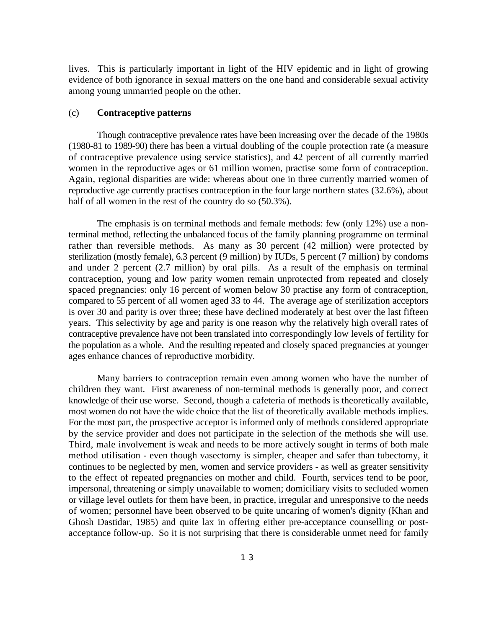lives. This is particularly important in light of the HIV epidemic and in light of growing evidence of both ignorance in sexual matters on the one hand and considerable sexual activity among young unmarried people on the other.

#### (c) **Contraceptive patterns**

Though contraceptive prevalence rates have been increasing over the decade of the 1980s (1980-81 to 1989-90) there has been a virtual doubling of the couple protection rate (a measure of contraceptive prevalence using service statistics), and 42 percent of all currently married women in the reproductive ages or 61 million women, practise some form of contraception. Again, regional disparities are wide: whereas about one in three currently married women of reproductive age currently practises contraception in the four large northern states (32.6%), about half of all women in the rest of the country do so  $(50.3\%)$ .

The emphasis is on terminal methods and female methods: few (only 12%) use a nonterminal method, reflecting the unbalanced focus of the family planning programme on terminal rather than reversible methods. As many as 30 percent (42 million) were protected by sterilization (mostly female), 6.3 percent (9 million) by IUDs, 5 percent (7 million) by condoms and under 2 percent (2.7 million) by oral pills. As a result of the emphasis on terminal contraception, young and low parity women remain unprotected from repeated and closely spaced pregnancies: only 16 percent of women below 30 practise any form of contraception, compared to 55 percent of all women aged 33 to 44. The average age of sterilization acceptors is over 30 and parity is over three; these have declined moderately at best over the last fifteen years. This selectivity by age and parity is one reason why the relatively high overall rates of contraceptive prevalence have not been translated into correspondingly low levels of fertility for the population as a whole. And the resulting repeated and closely spaced pregnancies at younger ages enhance chances of reproductive morbidity.

Many barriers to contraception remain even among women who have the number of children they want. First awareness of non-terminal methods is generally poor, and correct knowledge of their use worse. Second, though a cafeteria of methods is theoretically available, most women do not have the wide choice that the list of theoretically available methods implies. For the most part, the prospective acceptor is informed only of methods considered appropriate by the service provider and does not participate in the selection of the methods she will use. Third, male involvement is weak and needs to be more actively sought in terms of both male method utilisation - even though vasectomy is simpler, cheaper and safer than tubectomy, it continues to be neglected by men, women and service providers - as well as greater sensitivity to the effect of repeated pregnancies on mother and child. Fourth, services tend to be poor, impersonal, threatening or simply unavailable to women; domiciliary visits to secluded women or village level outlets for them have been, in practice, irregular and unresponsive to the needs of women; personnel have been observed to be quite uncaring of women's dignity (Khan and Ghosh Dastidar, 1985) and quite lax in offering either pre-acceptance counselling or postacceptance follow-up. So it is not surprising that there is considerable unmet need for family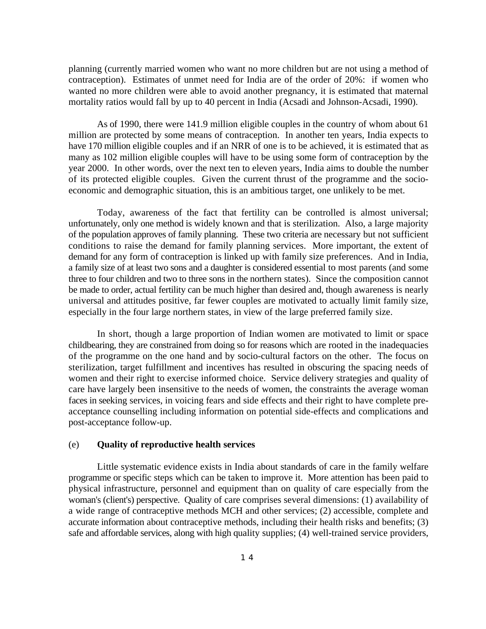planning (currently married women who want no more children but are not using a method of contraception). Estimates of unmet need for India are of the order of 20%: if women who wanted no more children were able to avoid another pregnancy, it is estimated that maternal mortality ratios would fall by up to 40 percent in India (Acsadi and Johnson-Acsadi, 1990).

As of 1990, there were 141.9 million eligible couples in the country of whom about 61 million are protected by some means of contraception. In another ten years, India expects to have 170 million eligible couples and if an NRR of one is to be achieved, it is estimated that as many as 102 million eligible couples will have to be using some form of contraception by the year 2000. In other words, over the next ten to eleven years, India aims to double the number of its protected eligible couples. Given the current thrust of the programme and the socioeconomic and demographic situation, this is an ambitious target, one unlikely to be met.

Today, awareness of the fact that fertility can be controlled is almost universal; unfortunately, only one method is widely known and that is sterilization. Also, a large majority of the population approves of family planning. These two criteria are necessary but not sufficient conditions to raise the demand for family planning services. More important, the extent of demand for any form of contraception is linked up with family size preferences. And in India, a family size of at least two sons and a daughter is considered essential to most parents (and some three to four children and two to three sons in the northern states). Since the composition cannot be made to order, actual fertility can be much higher than desired and, though awareness is nearly universal and attitudes positive, far fewer couples are motivated to actually limit family size, especially in the four large northern states, in view of the large preferred family size.

In short, though a large proportion of Indian women are motivated to limit or space childbearing, they are constrained from doing so for reasons which are rooted in the inadequacies of the programme on the one hand and by socio-cultural factors on the other. The focus on sterilization, target fulfillment and incentives has resulted in obscuring the spacing needs of women and their right to exercise informed choice. Service delivery strategies and quality of care have largely been insensitive to the needs of women, the constraints the average woman faces in seeking services, in voicing fears and side effects and their right to have complete preacceptance counselling including information on potential side-effects and complications and post-acceptance follow-up.

#### (e) **Quality of reproductive health services**

Little systematic evidence exists in India about standards of care in the family welfare programme or specific steps which can be taken to improve it. More attention has been paid to physical infrastructure, personnel and equipment than on quality of care especially from the woman's (client's) perspective. Quality of care comprises several dimensions: (1) availability of a wide range of contraceptive methods MCH and other services; (2) accessible, complete and accurate information about contraceptive methods, including their health risks and benefits; (3) safe and affordable services, along with high quality supplies; (4) well-trained service providers,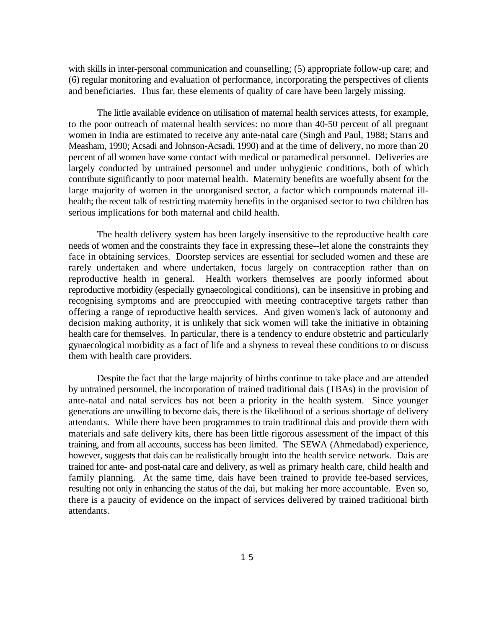with skills in inter-personal communication and counselling; (5) appropriate follow-up care; and (6) regular monitoring and evaluation of performance, incorporating the perspectives of clients and beneficiaries. Thus far, these elements of quality of care have been largely missing.

The little available evidence on utilisation of maternal health services attests, for example, to the poor outreach of maternal health services: no more than 40-50 percent of all pregnant women in India are estimated to receive any ante-natal care (Singh and Paul, 1988; Starrs and Measham, 1990; Acsadi and Johnson-Acsadi, 1990) and at the time of delivery, no more than 20 percent of all women have some contact with medical or paramedical personnel. Deliveries are largely conducted by untrained personnel and under unhygienic conditions, both of which contribute significantly to poor maternal health. Maternity benefits are woefully absent for the large majority of women in the unorganised sector, a factor which compounds maternal illhealth; the recent talk of restricting maternity benefits in the organised sector to two children has serious implications for both maternal and child health.

The health delivery system has been largely insensitive to the reproductive health care needs of women and the constraints they face in expressing these--let alone the constraints they face in obtaining services. Doorstep services are essential for secluded women and these are rarely undertaken and where undertaken, focus largely on contraception rather than on reproductive health in general. Health workers themselves are poorly informed about reproductive morbidity (especially gynaecological conditions), can be insensitive in probing and recognising symptoms and are preoccupied with meeting contraceptive targets rather than offering a range of reproductive health services. And given women's lack of autonomy and decision making authority, it is unlikely that sick women will take the initiative in obtaining health care for themselves. In particular, there is a tendency to endure obstetric and particularly gynaecological morbidity as a fact of life and a shyness to reveal these conditions to or discuss them with health care providers.

Despite the fact that the large majority of births continue to take place and are attended by untrained personnel, the incorporation of trained traditional dais (TBAs) in the provision of ante-natal and natal services has not been a priority in the health system. Since younger generations are unwilling to become dais, there is the likelihood of a serious shortage of delivery attendants. While there have been programmes to train traditional dais and provide them with materials and safe delivery kits, there has been little rigorous assessment of the impact of this training, and from all accounts, success has been limited. The SEWA (Ahmedabad) experience, however, suggests that dais can be realistically brought into the health service network. Dais are trained for ante- and post-natal care and delivery, as well as primary health care, child health and family planning. At the same time, dais have been trained to provide fee-based services, resulting not only in enhancing the status of the dai, but making her more accountable. Even so, there is a paucity of evidence on the impact of services delivered by trained traditional birth attendants.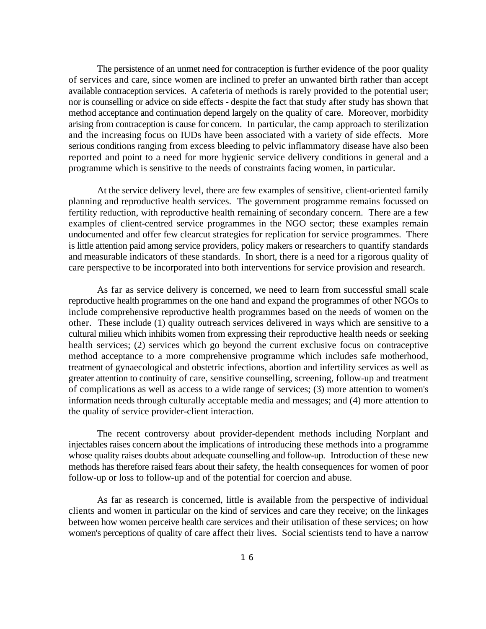The persistence of an unmet need for contraception is further evidence of the poor quality of services and care, since women are inclined to prefer an unwanted birth rather than accept available contraception services. A cafeteria of methods is rarely provided to the potential user; nor is counselling or advice on side effects - despite the fact that study after study has shown that method acceptance and continuation depend largely on the quality of care. Moreover, morbidity arising from contraception is cause for concern. In particular, the camp approach to sterilization and the increasing focus on IUDs have been associated with a variety of side effects. More serious conditions ranging from excess bleeding to pelvic inflammatory disease have also been reported and point to a need for more hygienic service delivery conditions in general and a programme which is sensitive to the needs of constraints facing women, in particular.

At the service delivery level, there are few examples of sensitive, client-oriented family planning and reproductive health services. The government programme remains focussed on fertility reduction, with reproductive health remaining of secondary concern. There are a few examples of client-centred service programmes in the NGO sector; these examples remain undocumented and offer few clearcut strategies for replication for service programmes. There is little attention paid among service providers, policy makers or researchers to quantify standards and measurable indicators of these standards. In short, there is a need for a rigorous quality of care perspective to be incorporated into both interventions for service provision and research.

As far as service delivery is concerned, we need to learn from successful small scale reproductive health programmes on the one hand and expand the programmes of other NGOs to include comprehensive reproductive health programmes based on the needs of women on the other. These include (1) quality outreach services delivered in ways which are sensitive to a cultural milieu which inhibits women from expressing their reproductive health needs or seeking health services; (2) services which go beyond the current exclusive focus on contraceptive method acceptance to a more comprehensive programme which includes safe motherhood, treatment of gynaecological and obstetric infections, abortion and infertility services as well as greater attention to continuity of care, sensitive counselling, screening, follow-up and treatment of complications as well as access to a wide range of services; (3) more attention to women's information needs through culturally acceptable media and messages; and (4) more attention to the quality of service provider-client interaction.

The recent controversy about provider-dependent methods including Norplant and injectables raises concern about the implications of introducing these methods into a programme whose quality raises doubts about adequate counselling and follow-up. Introduction of these new methods has therefore raised fears about their safety, the health consequences for women of poor follow-up or loss to follow-up and of the potential for coercion and abuse.

As far as research is concerned, little is available from the perspective of individual clients and women in particular on the kind of services and care they receive; on the linkages between how women perceive health care services and their utilisation of these services; on how women's perceptions of quality of care affect their lives. Social scientists tend to have a narrow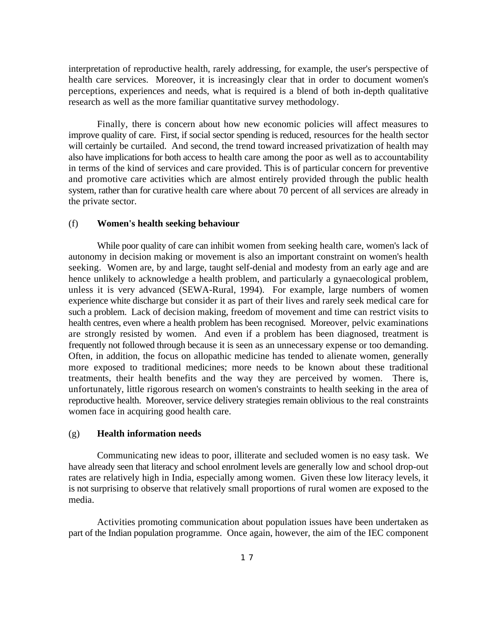interpretation of reproductive health, rarely addressing, for example, the user's perspective of health care services. Moreover, it is increasingly clear that in order to document women's perceptions, experiences and needs, what is required is a blend of both in-depth qualitative research as well as the more familiar quantitative survey methodology.

Finally, there is concern about how new economic policies will affect measures to improve quality of care. First, if social sector spending is reduced, resources for the health sector will certainly be curtailed. And second, the trend toward increased privatization of health may also have implications for both access to health care among the poor as well as to accountability in terms of the kind of services and care provided. This is of particular concern for preventive and promotive care activities which are almost entirely provided through the public health system, rather than for curative health care where about 70 percent of all services are already in the private sector.

#### (f) **Women's health seeking behaviour**

While poor quality of care can inhibit women from seeking health care, women's lack of autonomy in decision making or movement is also an important constraint on women's health seeking. Women are, by and large, taught self-denial and modesty from an early age and are hence unlikely to acknowledge a health problem, and particularly a gynaecological problem, unless it is very advanced (SEWA-Rural, 1994). For example, large numbers of women experience white discharge but consider it as part of their lives and rarely seek medical care for such a problem. Lack of decision making, freedom of movement and time can restrict visits to health centres, even where a health problem has been recognised. Moreover, pelvic examinations are strongly resisted by women. And even if a problem has been diagnosed, treatment is frequently not followed through because it is seen as an unnecessary expense or too demanding. Often, in addition, the focus on allopathic medicine has tended to alienate women, generally more exposed to traditional medicines; more needs to be known about these traditional treatments, their health benefits and the way they are perceived by women. There is, unfortunately, little rigorous research on women's constraints to health seeking in the area of reproductive health. Moreover, service delivery strategies remain oblivious to the real constraints women face in acquiring good health care.

#### (g) **Health information needs**

Communicating new ideas to poor, illiterate and secluded women is no easy task. We have already seen that literacy and school enrolment levels are generally low and school drop-out rates are relatively high in India, especially among women. Given these low literacy levels, it is not surprising to observe that relatively small proportions of rural women are exposed to the media.

Activities promoting communication about population issues have been undertaken as part of the Indian population programme. Once again, however, the aim of the IEC component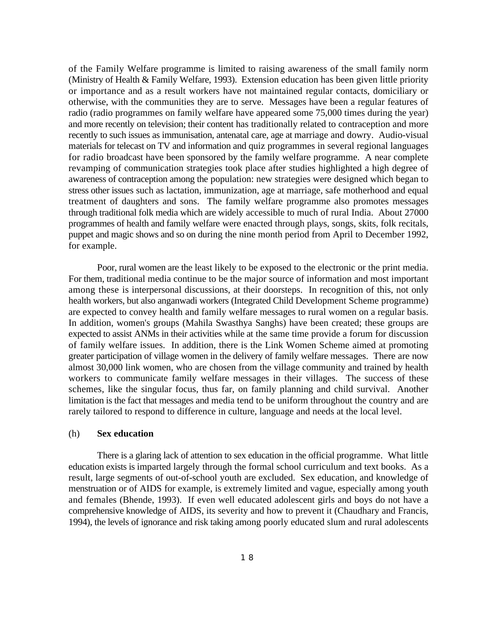of the Family Welfare programme is limited to raising awareness of the small family norm (Ministry of Health & Family Welfare, 1993). Extension education has been given little priority or importance and as a result workers have not maintained regular contacts, domiciliary or otherwise, with the communities they are to serve. Messages have been a regular features of radio (radio programmes on family welfare have appeared some 75,000 times during the year) and more recently on television; their content has traditionally related to contraception and more recently to such issues as immunisation, antenatal care, age at marriage and dowry. Audio-visual materials for telecast on TV and information and quiz programmes in several regional languages for radio broadcast have been sponsored by the family welfare programme. A near complete revamping of communication strategies took place after studies highlighted a high degree of awareness of contraception among the population: new strategies were designed which began to stress other issues such as lactation, immunization, age at marriage, safe motherhood and equal treatment of daughters and sons. The family welfare programme also promotes messages through traditional folk media which are widely accessible to much of rural India. About 27000 programmes of health and family welfare were enacted through plays, songs, skits, folk recitals, puppet and magic shows and so on during the nine month period from April to December 1992, for example.

Poor, rural women are the least likely to be exposed to the electronic or the print media. For them, traditional media continue to be the major source of information and most important among these is interpersonal discussions, at their doorsteps. In recognition of this, not only health workers, but also anganwadi workers (Integrated Child Development Scheme programme) are expected to convey health and family welfare messages to rural women on a regular basis. In addition, women's groups (Mahila Swasthya Sanghs) have been created; these groups are expected to assist ANMs in their activities while at the same time provide a forum for discussion of family welfare issues. In addition, there is the Link Women Scheme aimed at promoting greater participation of village women in the delivery of family welfare messages. There are now almost 30,000 link women, who are chosen from the village community and trained by health workers to communicate family welfare messages in their villages. The success of these schemes, like the singular focus, thus far, on family planning and child survival. Another limitation is the fact that messages and media tend to be uniform throughout the country and are rarely tailored to respond to difference in culture, language and needs at the local level.

#### (h) **Sex education**

There is a glaring lack of attention to sex education in the official programme. What little education exists is imparted largely through the formal school curriculum and text books. As a result, large segments of out-of-school youth are excluded. Sex education, and knowledge of menstruation or of AIDS for example, is extremely limited and vague, especially among youth and females (Bhende, 1993). If even well educated adolescent girls and boys do not have a comprehensive knowledge of AIDS, its severity and how to prevent it (Chaudhary and Francis, 1994), the levels of ignorance and risk taking among poorly educated slum and rural adolescents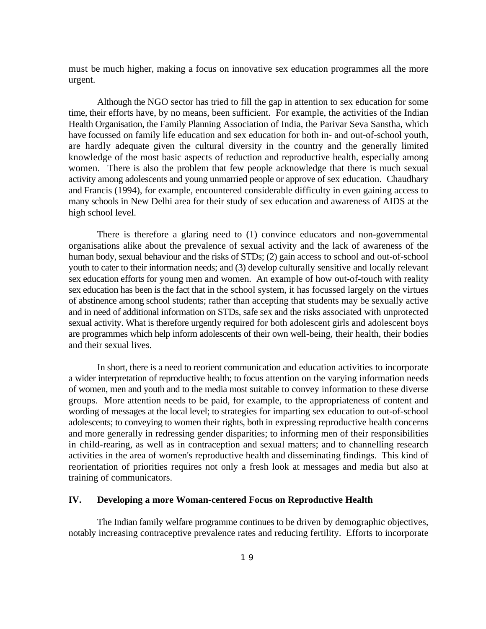must be much higher, making a focus on innovative sex education programmes all the more urgent.

Although the NGO sector has tried to fill the gap in attention to sex education for some time, their efforts have, by no means, been sufficient. For example, the activities of the Indian Health Organisation, the Family Planning Association of India, the Parivar Seva Sanstha, which have focussed on family life education and sex education for both in- and out-of-school youth, are hardly adequate given the cultural diversity in the country and the generally limited knowledge of the most basic aspects of reduction and reproductive health, especially among women. There is also the problem that few people acknowledge that there is much sexual activity among adolescents and young unmarried people or approve of sex education. Chaudhary and Francis (1994), for example, encountered considerable difficulty in even gaining access to many schools in New Delhi area for their study of sex education and awareness of AIDS at the high school level.

There is therefore a glaring need to (1) convince educators and non-governmental organisations alike about the prevalence of sexual activity and the lack of awareness of the human body, sexual behaviour and the risks of STDs; (2) gain access to school and out-of-school youth to cater to their information needs; and (3) develop culturally sensitive and locally relevant sex education efforts for young men and women. An example of how out-of-touch with reality sex education has been is the fact that in the school system, it has focussed largely on the virtues of abstinence among school students; rather than accepting that students may be sexually active and in need of additional information on STDs, safe sex and the risks associated with unprotected sexual activity. What is therefore urgently required for both adolescent girls and adolescent boys are programmes which help inform adolescents of their own well-being, their health, their bodies and their sexual lives.

In short, there is a need to reorient communication and education activities to incorporate a wider interpretation of reproductive health; to focus attention on the varying information needs of women, men and youth and to the media most suitable to convey information to these diverse groups. More attention needs to be paid, for example, to the appropriateness of content and wording of messages at the local level; to strategies for imparting sex education to out-of-school adolescents; to conveying to women their rights, both in expressing reproductive health concerns and more generally in redressing gender disparities; to informing men of their responsibilities in child-rearing, as well as in contraception and sexual matters; and to channelling research activities in the area of women's reproductive health and disseminating findings. This kind of reorientation of priorities requires not only a fresh look at messages and media but also at training of communicators.

#### **IV. Developing a more Woman-centered Focus on Reproductive Health**

The Indian family welfare programme continues to be driven by demographic objectives, notably increasing contraceptive prevalence rates and reducing fertility. Efforts to incorporate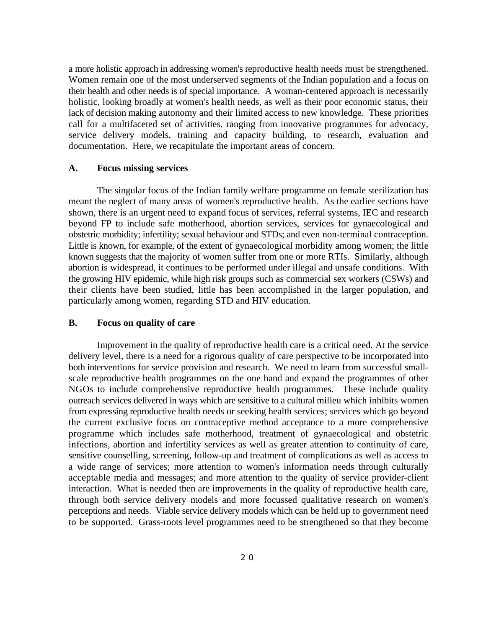a more holistic approach in addressing women's reproductive health needs must be strengthened. Women remain one of the most underserved segments of the Indian population and a focus on their health and other needs is of special importance. A woman-centered approach is necessarily holistic, looking broadly at women's health needs, as well as their poor economic status, their lack of decision making autonomy and their limited access to new knowledge. These priorities call for a multifaceted set of activities, ranging from innovative programmes for advocacy, service delivery models, training and capacity building, to research, evaluation and documentation. Here, we recapitulate the important areas of concern.

#### **A. Focus missing services**

The singular focus of the Indian family welfare programme on female sterilization has meant the neglect of many areas of women's reproductive health. As the earlier sections have shown, there is an urgent need to expand focus of services, referral systems, IEC and research beyond FP to include safe motherhood, abortion services, services for gynaecological and obstetric morbidity; infertility; sexual behaviour and STDs; and even non-terminal contraception. Little is known, for example, of the extent of gynaecological morbidity among women; the little known suggests that the majority of women suffer from one or more RTIs. Similarly, although abortion is widespread, it continues to be performed under illegal and unsafe conditions. With the growing HIV epidemic, while high risk groups such as commercial sex workers (CSWs) and their clients have been studied, little has been accomplished in the larger population, and particularly among women, regarding STD and HIV education.

#### **B. Focus on quality of care**

Improvement in the quality of reproductive health care is a critical need. At the service delivery level, there is a need for a rigorous quality of care perspective to be incorporated into both interventions for service provision and research. We need to learn from successful smallscale reproductive health programmes on the one hand and expand the programmes of other NGOs to include comprehensive reproductive health programmes. These include quality outreach services delivered in ways which are sensitive to a cultural milieu which inhibits women from expressing reproductive health needs or seeking health services; services which go beyond the current exclusive focus on contraceptive method acceptance to a more comprehensive programme which includes safe motherhood, treatment of gynaecological and obstetric infections, abortion and infertility services as well as greater attention to continuity of care, sensitive counselling, screening, follow-up and treatment of complications as well as access to a wide range of services; more attention to women's information needs through culturally acceptable media and messages; and more attention to the quality of service provider-client interaction. What is needed then are improvements in the quality of reproductive health care, through both service delivery models and more focussed qualitative research on women's perceptions and needs. Viable service delivery models which can be held up to government need to be supported. Grass-roots level programmes need to be strengthened so that they become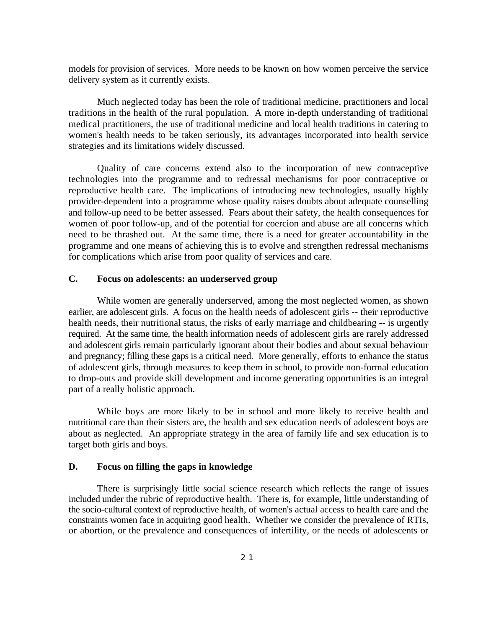models for provision of services. More needs to be known on how women perceive the service delivery system as it currently exists.

Much neglected today has been the role of traditional medicine, practitioners and local traditions in the health of the rural population. A more in-depth understanding of traditional medical practitioners, the use of traditional medicine and local health traditions in catering to women's health needs to be taken seriously, its advantages incorporated into health service strategies and its limitations widely discussed.

Quality of care concerns extend also to the incorporation of new contraceptive technologies into the programme and to redressal mechanisms for poor contraceptive or reproductive health care. The implications of introducing new technologies, usually highly provider-dependent into a programme whose quality raises doubts about adequate counselling and follow-up need to be better assessed. Fears about their safety, the health consequences for women of poor follow-up, and of the potential for coercion and abuse are all concerns which need to be thrashed out. At the same time, there is a need for greater accountability in the programme and one means of achieving this is to evolve and strengthen redressal mechanisms for complications which arise from poor quality of services and care.

#### **C. Focus on adolescents: an underserved group**

While women are generally underserved, among the most neglected women, as shown earlier, are adolescent girls. A focus on the health needs of adolescent girls -- their reproductive health needs, their nutritional status, the risks of early marriage and childbearing -- is urgently required. At the same time, the health information needs of adolescent girls are rarely addressed and adolescent girls remain particularly ignorant about their bodies and about sexual behaviour and pregnancy; filling these gaps is a critical need. More generally, efforts to enhance the status of adolescent girls, through measures to keep them in school, to provide non-formal education to drop-outs and provide skill development and income generating opportunities is an integral part of a really holistic approach.

While boys are more likely to be in school and more likely to receive health and nutritional care than their sisters are, the health and sex education needs of adolescent boys are about as neglected. An appropriate strategy in the area of family life and sex education is to target both girls and boys.

#### **D. Focus on filling the gaps in knowledge**

There is surprisingly little social science research which reflects the range of issues included under the rubric of reproductive health. There is, for example, little understanding of the socio-cultural context of reproductive health, of women's actual access to health care and the constraints women face in acquiring good health. Whether we consider the prevalence of RTIs, or abortion, or the prevalence and consequences of infertility, or the needs of adolescents or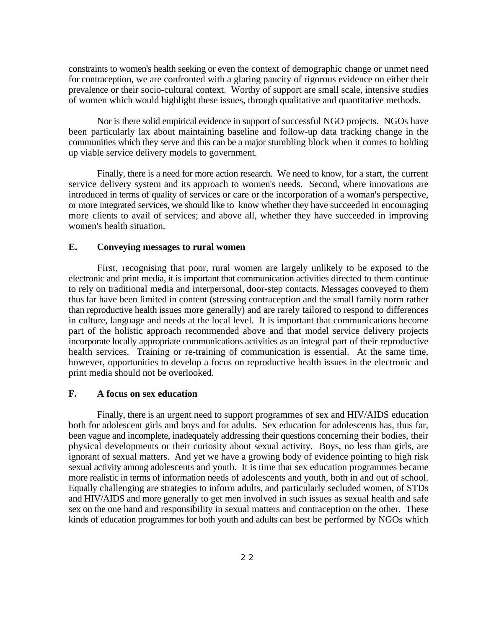constraints to women's health seeking or even the context of demographic change or unmet need for contraception, we are confronted with a glaring paucity of rigorous evidence on either their prevalence or their socio-cultural context. Worthy of support are small scale, intensive studies of women which would highlight these issues, through qualitative and quantitative methods.

Nor is there solid empirical evidence in support of successful NGO projects. NGOs have been particularly lax about maintaining baseline and follow-up data tracking change in the communities which they serve and this can be a major stumbling block when it comes to holding up viable service delivery models to government.

Finally, there is a need for more action research. We need to know, for a start, the current service delivery system and its approach to women's needs. Second, where innovations are introduced in terms of quality of services or care or the incorporation of a woman's perspective, or more integrated services, we should like to know whether they have succeeded in encouraging more clients to avail of services; and above all, whether they have succeeded in improving women's health situation.

#### **E. Conveying messages to rural women**

First, recognising that poor, rural women are largely unlikely to be exposed to the electronic and print media, it is important that communication activities directed to them continue to rely on traditional media and interpersonal, door-step contacts. Messages conveyed to them thus far have been limited in content (stressing contraception and the small family norm rather than reproductive health issues more generally) and are rarely tailored to respond to differences in culture, language and needs at the local level. It is important that communications become part of the holistic approach recommended above and that model service delivery projects incorporate locally appropriate communications activities as an integral part of their reproductive health services. Training or re-training of communication is essential. At the same time, however, opportunities to develop a focus on reproductive health issues in the electronic and print media should not be overlooked.

#### **F. A focus on sex education**

Finally, there is an urgent need to support programmes of sex and HIV/AIDS education both for adolescent girls and boys and for adults. Sex education for adolescents has, thus far, been vague and incomplete, inadequately addressing their questions concerning their bodies, their physical developments or their curiosity about sexual activity. Boys, no less than girls, are ignorant of sexual matters. And yet we have a growing body of evidence pointing to high risk sexual activity among adolescents and youth. It is time that sex education programmes became more realistic in terms of information needs of adolescents and youth, both in and out of school. Equally challenging are strategies to inform adults, and particularly secluded women, of STDs and HIV/AIDS and more generally to get men involved in such issues as sexual health and safe sex on the one hand and responsibility in sexual matters and contraception on the other. These kinds of education programmes for both youth and adults can best be performed by NGOs which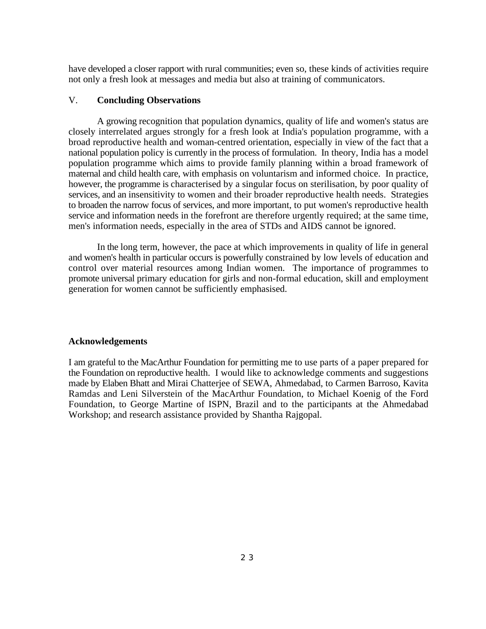have developed a closer rapport with rural communities; even so, these kinds of activities require not only a fresh look at messages and media but also at training of communicators.

#### V. **Concluding Observations**

A growing recognition that population dynamics, quality of life and women's status are closely interrelated argues strongly for a fresh look at India's population programme, with a broad reproductive health and woman-centred orientation, especially in view of the fact that a national population policy is currently in the process of formulation. In theory, India has a model population programme which aims to provide family planning within a broad framework of maternal and child health care, with emphasis on voluntarism and informed choice. In practice, however, the programme is characterised by a singular focus on sterilisation, by poor quality of services, and an insensitivity to women and their broader reproductive health needs. Strategies to broaden the narrow focus of services, and more important, to put women's reproductive health service and information needs in the forefront are therefore urgently required; at the same time, men's information needs, especially in the area of STDs and AIDS cannot be ignored.

In the long term, however, the pace at which improvements in quality of life in general and women's health in particular occurs is powerfully constrained by low levels of education and control over material resources among Indian women. The importance of programmes to promote universal primary education for girls and non-formal education, skill and employment generation for women cannot be sufficiently emphasised.

#### **Acknowledgements**

I am grateful to the MacArthur Foundation for permitting me to use parts of a paper prepared for the Foundation on reproductive health. I would like to acknowledge comments and suggestions made by Elaben Bhatt and Mirai Chatterjee of SEWA, Ahmedabad, to Carmen Barroso, Kavita Ramdas and Leni Silverstein of the MacArthur Foundation, to Michael Koenig of the Ford Foundation, to George Martine of ISPN, Brazil and to the participants at the Ahmedabad Workshop; and research assistance provided by Shantha Rajgopal.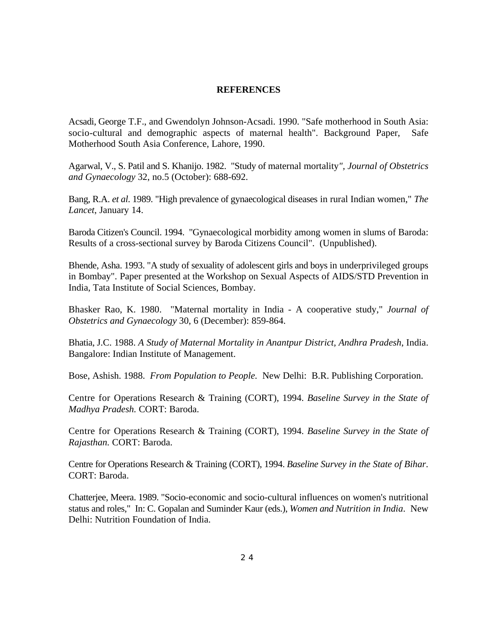#### **REFERENCES**

Acsadi, George T.F., and Gwendolyn Johnson-Acsadi. 1990. "Safe motherhood in South Asia: socio-cultural and demographic aspects of maternal health". Background Paper, Safe Motherhood South Asia Conference, Lahore, 1990.

Agarwal, V., S. Patil and S. Khanijo. 1982. "Study of maternal mortality*", Journal of Obstetrics and Gynaecology* 32, no.5 (October): 688-692.

Bang, R.A. *et al*. 1989. "High prevalence of gynaecological diseases in rural Indian women," *The Lancet*, January 14.

Baroda Citizen's Council. 1994. "Gynaecological morbidity among women in slums of Baroda: Results of a cross-sectional survey by Baroda Citizens Council". (Unpublished).

Bhende, Asha. 1993. "A study of sexuality of adolescent girls and boys in underprivileged groups in Bombay". Paper presented at the Workshop on Sexual Aspects of AIDS/STD Prevention in India, Tata Institute of Social Sciences, Bombay.

Bhasker Rao, K. 1980. "Maternal mortality in India - A cooperative study," *Journal of Obstetrics and Gynaecology* 30, 6 (December): 859-864.

Bhatia, J.C. 1988. *A Study of Maternal Mortality in Anantpur District, Andhra Pradesh*, India. Bangalore: Indian Institute of Management.

Bose, Ashish. 1988. *From Population to People.* New Delhi: B.R. Publishing Corporation.

Centre for Operations Research & Training (CORT), 1994. *Baseline Survey in the State of Madhya Pradesh.* CORT: Baroda.

Centre for Operations Research & Training (CORT), 1994. *Baseline Survey in the State of Rajasthan.* CORT: Baroda.

Centre for Operations Research & Training (CORT), 1994. *Baseline Survey in the State of Bihar*. CORT: Baroda.

Chatterjee, Meera. 1989. "Socio-economic and socio-cultural influences on women's nutritional status and roles," In: C. Gopalan and Suminder Kaur (eds.), *Women and Nutrition in India*. New Delhi: Nutrition Foundation of India.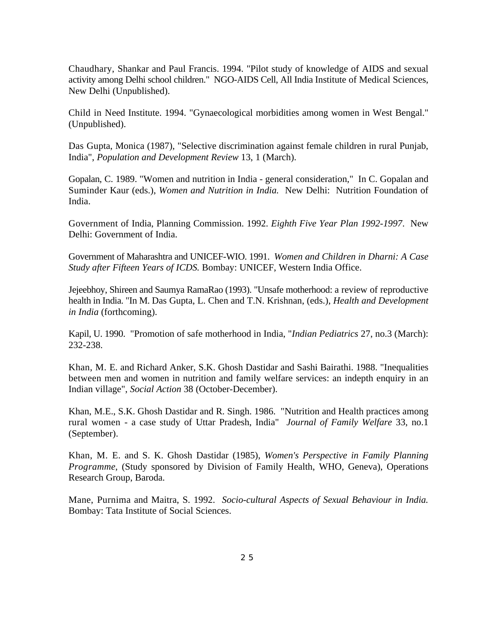Chaudhary, Shankar and Paul Francis. 1994. "Pilot study of knowledge of AIDS and sexual activity among Delhi school children." NGO-AIDS Cell, All India Institute of Medical Sciences, New Delhi (Unpublished).

Child in Need Institute. 1994. "Gynaecological morbidities among women in West Bengal." (Unpublished).

Das Gupta, Monica (1987), "Selective discrimination against female children in rural Punjab, India", *Population and Development Review* 13, 1 (March).

Gopalan, C. 1989. "Women and nutrition in India - general consideration," In C. Gopalan and Suminder Kaur (eds.), *Women and Nutrition in India.* New Delhi: Nutrition Foundation of India.

Government of India, Planning Commission. 1992. *Eighth Five Year Plan 1992-1997*. New Delhi: Government of India.

Government of Maharashtra and UNICEF-WIO. 1991. *Women and Children in Dharni: A Case Study after Fifteen Years of ICDS.* Bombay: UNICEF, Western India Office.

Jejeebhoy, Shireen and Saumya RamaRao (1993). "Unsafe motherhood: a review of reproductive health in India. "In M. Das Gupta, L. Chen and T.N. Krishnan, (eds.), *Health and Development in India* (forthcoming).

Kapil, U. 1990. "Promotion of safe motherhood in India, "*Indian Pediatrics* 27, no.3 (March): 232-238.

Khan, M. E. and Richard Anker, S.K. Ghosh Dastidar and Sashi Bairathi. 1988. "Inequalities between men and women in nutrition and family welfare services: an indepth enquiry in an Indian village", *Social Action* 38 (October-December).

Khan, M.E., S.K. Ghosh Dastidar and R. Singh. 1986. "Nutrition and Health practices among rural women - a case study of Uttar Pradesh, India" *Journal of Family Welfare* 33, no.1 (September).

Khan, M. E. and S. K. Ghosh Dastidar (1985), *Women's Perspective in Family Planning Programme*, (Study sponsored by Division of Family Health, WHO, Geneva), Operations Research Group, Baroda.

Mane, Purnima and Maitra, S. 1992. *Socio-cultural Aspects of Sexual Behaviour in India.* Bombay: Tata Institute of Social Sciences.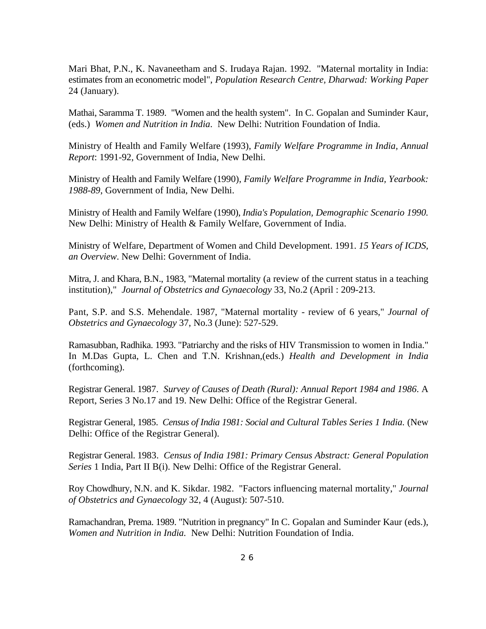Mari Bhat, P.N., K. Navaneetham and S. Irudaya Rajan. 1992. "Maternal mortality in India: estimates from an econometric model", *Population Research Centre, Dharwad: Working Paper* 24 (January).

Mathai, Saramma T. 1989. "Women and the health system". In C. Gopalan and Suminder Kaur, (eds.) *Women and Nutrition in India*. New Delhi: Nutrition Foundation of India.

Ministry of Health and Family Welfare (1993), *Family Welfare Programme in India, Annual Report*: 1991-92, Government of India, New Delhi.

Ministry of Health and Family Welfare (1990), *Family Welfare Programme in India, Yearbook: 1988-89*, Government of India, New Delhi.

Ministry of Health and Family Welfare (1990), *India's Population, Demographic Scenario 1990.* New Delhi: Ministry of Health & Family Welfare, Government of India.

Ministry of Welfare, Department of Women and Child Development. 1991. *15 Years of ICDS, an Overview*. New Delhi: Government of India.

Mitra, J. and Khara, B.N., 1983, "Maternal mortality (a review of the current status in a teaching institution)," *Journal of Obstetrics and Gynaecology* 33, No.2 (April : 209-213.

Pant, S.P. and S.S. Mehendale. 1987, "Maternal mortality - review of 6 years," *Journal of Obstetrics and Gynaecology* 37, No.3 (June): 527-529.

Ramasubban, Radhika. 1993. "Patriarchy and the risks of HIV Transmission to women in India." In M.Das Gupta, L. Chen and T.N. Krishnan,(eds.) *Health and Development in India* (forthcoming).

Registrar General. 1987. *Survey of Causes of Death (Rural): Annual Report 1984 and 1986*. A Report, Series 3 No.17 and 19. New Delhi: Office of the Registrar General.

Registrar General, 1985. *Census of India 1981: Social and Cultural Tables Series 1 India.* (New Delhi: Office of the Registrar General).

Registrar General. 1983. *Census of India 1981: Primary Census Abstract: General Population Series* 1 India, Part II B(i). New Delhi: Office of the Registrar General.

Roy Chowdhury, N.N. and K. Sikdar. 1982. "Factors influencing maternal mortality," *Journal of Obstetrics and Gynaecology* 32, 4 (August): 507-510.

Ramachandran, Prema. 1989. "Nutrition in pregnancy" In C. Gopalan and Suminder Kaur (eds.), *Women and Nutrition in India.* New Delhi: Nutrition Foundation of India.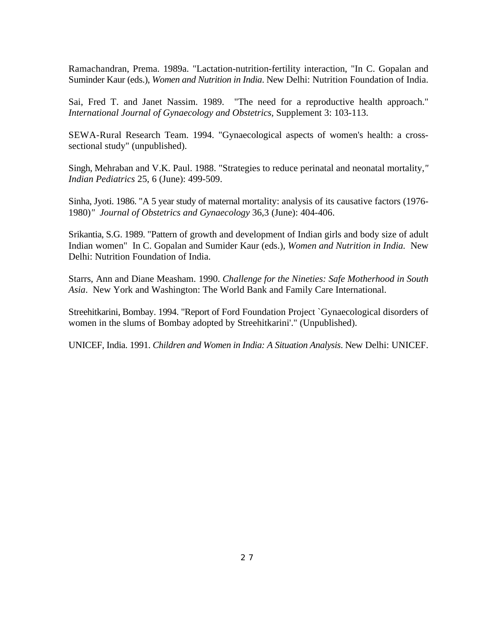Ramachandran, Prema. 1989a. "Lactation-nutrition-fertility interaction, "In C. Gopalan and Suminder Kaur (eds.), *Women and Nutrition in India*. New Delhi: Nutrition Foundation of India.

Sai, Fred T. and Janet Nassim. 1989. "The need for a reproductive health approach." *International Journal of Gynaecology and Obstetrics,* Supplement 3: 103-113.

SEWA-Rural Research Team. 1994. "Gynaecological aspects of women's health: a crosssectional study" (unpublished).

Singh, Mehraban and V.K. Paul. 1988. "Strategies to reduce perinatal and neonatal mortality,*" Indian Pediatrics* 25, 6 (June): 499-509.

Sinha, Jyoti. 1986. "A 5 year study of maternal mortality: analysis of its causative factors (1976- 1980)*" Journal of Obstetrics and Gynaecology* 36,3 (June): 404-406.

Srikantia, S.G. 1989. "Pattern of growth and development of Indian girls and body size of adult Indian women" In C. Gopalan and Sumider Kaur (eds.), *Women and Nutrition in India.* New Delhi: Nutrition Foundation of India.

Starrs, Ann and Diane Measham. 1990. *Challenge for the Nineties: Safe Motherhood in South Asia*. New York and Washington: The World Bank and Family Care International.

Streehitkarini, Bombay. 1994. "Report of Ford Foundation Project `Gynaecological disorders of women in the slums of Bombay adopted by Streehitkarini'." (Unpublished).

UNICEF, India. 1991. *Children and Women in India: A Situation Analysis*. New Delhi: UNICEF.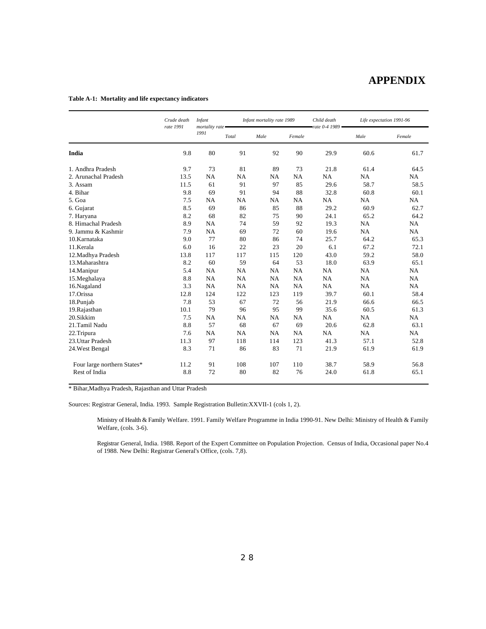### **APPENDIX**

#### **Table A-1: Mortality and life expectancy indicators**

|                             | Crude death<br>rate 1991 | <b>Infant</b><br>mortality rate - |           | Infant mortality rate 1989 |           |                     | Life expectation 1991-96 |           |
|-----------------------------|--------------------------|-----------------------------------|-----------|----------------------------|-----------|---------------------|--------------------------|-----------|
|                             |                          | 1991                              | Total     | Male                       | Female    | rate $0-4$ 1989 $-$ | Male                     | Female    |
| India                       | 9.8                      | 80                                | 91        | 92                         | 90        | 29.9                | 60.6                     | 61.7      |
| 1. Andhra Pradesh           | 9.7                      | 73                                | 81        | 89                         | 73        | 21.8                | 61.4                     | 64.5      |
| 2. Arunachal Pradesh        | 13.5                     | <b>NA</b>                         | NA        | <b>NA</b>                  | <b>NA</b> | NA                  | <b>NA</b>                | NA        |
| 3. Assam                    | 11.5                     | 61                                | 91        | 97                         | 85        | 29.6                | 58.7                     | 58.5      |
| 4. Bihar                    | 9.8                      | 69                                | 91        | 94                         | 88        | 32.8                | 60.8                     | 60.1      |
| 5. Goa                      | 7.5                      | <b>NA</b>                         | NA        | <b>NA</b>                  | <b>NA</b> | <b>NA</b>           | <b>NA</b>                | NA        |
| 6. Gujarat                  | 8.5                      | 69                                | 86        | 85                         | 88        | 29.2                | 60.9                     | 62.7      |
| 7. Haryana                  | 8.2                      | 68                                | 82        | 75                         | 90        | 24.1                | 65.2                     | 64.2      |
| 8. Himachal Pradesh         | 8.9                      | NA                                | 74        | 59                         | 92        | 19.3                | NA                       | NA        |
| 9. Jammu & Kashmir          | 7.9                      | <b>NA</b>                         | 69        | 72                         | 60        | 19.6                | <b>NA</b>                | <b>NA</b> |
| 10.Karnataka                | 9.0                      | 77                                | 80        | 86                         | 74        | 25.7                | 64.2                     | 65.3      |
| 11.Kerala                   | 6.0                      | 16                                | 22        | 23                         | 20        | 6.1                 | 67.2                     | 72.1      |
| 12. Madhya Pradesh          | 13.8                     | 117                               | 117       | 115                        | 120       | 43.0                | 59.2                     | 58.0      |
| 13. Maharashtra             | 8.2                      | 60                                | 59        | 64                         | 53        | 18.0                | 63.9                     | 65.1      |
| 14. Manipur                 | 5.4                      | <b>NA</b>                         | NA        | <b>NA</b>                  | <b>NA</b> | NA                  | NA                       | NA        |
| 15.Meghalaya                | 8.8                      | NA                                | NA        | <b>NA</b>                  | <b>NA</b> | NA                  | NA                       | NA        |
| 16.Nagaland                 | 3.3                      | <b>NA</b>                         | <b>NA</b> | <b>NA</b>                  | <b>NA</b> | NA                  | NA                       | NA        |
| 17.Orissa                   | 12.8                     | 124                               | 122       | 123                        | 119       | 39.7                | 60.1                     | 58.4      |
| 18.Punjab                   | 7.8                      | 53                                | 67        | 72                         | 56        | 21.9                | 66.6                     | 66.5      |
| 19.Rajasthan                | 10.1                     | 79                                | 96        | 95                         | 99        | 35.6                | 60.5                     | 61.3      |
| 20.Sikkim                   | 7.5                      | <b>NA</b>                         | NA        | <b>NA</b>                  | NA        | NA                  | <b>NA</b>                | NA        |
| 21.Tamil Nadu               | 8.8                      | 57                                | 68        | 67                         | 69        | 20.6                | 62.8                     | 63.1      |
| 22.Tripura                  | 7.6                      | <b>NA</b>                         | NA        | <b>NA</b>                  | <b>NA</b> | NA                  | <b>NA</b>                | NA        |
| 23.Uttar Pradesh            | 11.3                     | 97                                | 118       | 114                        | 123       | 41.3                | 57.1                     | 52.8      |
| 24. West Bengal             | 8.3                      | 71                                | 86        | 83                         | 71        | 21.9                | 61.9                     | 61.9      |
| Four large northern States* | 11.2                     | 91                                | 108       | 107                        | 110       | 38.7                | 58.9                     | 56.8      |
| Rest of India               | 8.8                      | 72                                | 80        | 82                         | 76        | 24.0                | 61.8                     | 65.1      |

\* Bihar,Madhya Pradesh, Rajasthan and Uttar Pradesh

Sources: Registrar General, India. 1993. Sample Registration Bulletin:XXVII-1 (cols 1, 2).

Ministry of Health & Family Welfare. 1991. Family Welfare Programme in India 1990-91. New Delhi: Ministry of Health & Family Welfare, (cols. 3-6).

Registrar General, India. 1988. Report of the Expert Committee on Population Projection. Census of India, Occasional paper No.4 of 1988. New Delhi: Registrar General's Office, (cols. 7,8).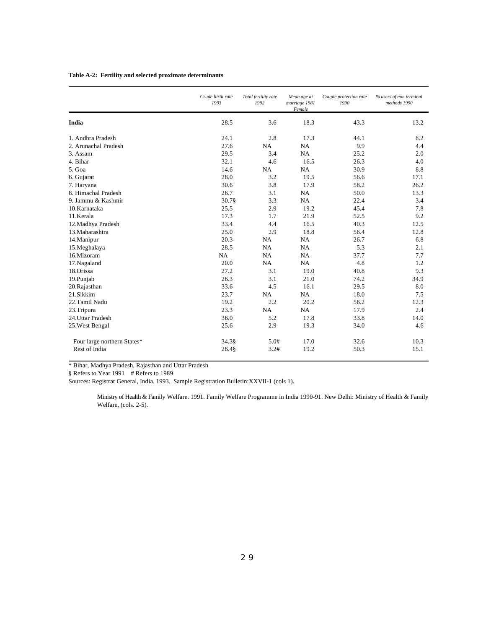#### **Table A-2: Fertility and selected proximate determinants**

|                             | Crude birth rate<br>1993 | Total fertility rate<br>1992 | Mean age at<br>marriage 1981<br>Female | Couple protection rate<br>1990 | % users of non terminal<br>methods 1990 |
|-----------------------------|--------------------------|------------------------------|----------------------------------------|--------------------------------|-----------------------------------------|
| India                       | 28.5                     | 3.6                          | 18.3                                   | 43.3                           | 13.2                                    |
| 1. Andhra Pradesh           | 24.1                     | 2.8                          | 17.3                                   | 44.1                           | 8.2                                     |
| 2. Arunachal Pradesh        | 27.6                     | <b>NA</b>                    | <b>NA</b>                              | 9.9                            | 4.4                                     |
| 3. Assam                    | 29.5                     | 3.4                          | NA                                     | 25.2                           | 2.0                                     |
| 4. Bihar                    | 32.1                     | 4.6                          | 16.5                                   | 26.3                           | 4.0                                     |
| 5. Goa                      | 14.6                     | NA                           | NA                                     | 30.9                           | 8.8                                     |
| 6. Gujarat                  | 28.0                     | 3.2                          | 19.5                                   | 56.6                           | 17.1                                    |
| 7. Haryana                  | 30.6                     | 3.8                          | 17.9                                   | 58.2                           | 26.2                                    |
| 8. Himachal Pradesh         | 26.7                     | 3.1                          | <b>NA</b>                              | 50.0                           | 13.3                                    |
| 9. Jammu & Kashmir          | 30.7§                    | 3.3                          | <b>NA</b>                              | 22.4                           | 3.4                                     |
| 10.Karnataka                | 25.5                     | 2.9                          | 19.2                                   | 45.4                           | 7.8                                     |
| 11.Kerala                   | 17.3                     | 1.7                          | 21.9                                   | 52.5                           | 9.2                                     |
| 12. Madhya Pradesh          | 33.4                     | 4.4                          | 16.5                                   | 40.3                           | 12.5                                    |
| 13. Maharashtra             | 25.0                     | 2.9                          | 18.8                                   | 56.4                           | 12.8                                    |
| 14. Manipur                 | 20.3                     | <b>NA</b>                    | NA                                     | 26.7                           | 6.8                                     |
| 15.Meghalaya                | 28.5                     | <b>NA</b>                    | <b>NA</b>                              | 5.3                            | 2.1                                     |
| 16.Mizoram                  | NA                       | <b>NA</b>                    | NA                                     | 37.7                           | 7.7                                     |
| 17. Nagaland                | 20.0                     | <b>NA</b>                    | NA                                     | 4.8                            | 1.2                                     |
| 18.Orissa                   | 27.2                     | 3.1                          | 19.0                                   | 40.8                           | 9.3                                     |
| 19.Punjab                   | 26.3                     | 3.1                          | 21.0                                   | 74.2                           | 34.9                                    |
| 20.Rajasthan                | 33.6                     | 4.5                          | 16.1                                   | 29.5                           | 8.0                                     |
| 21.Sikkim                   | 23.7                     | <b>NA</b>                    | <b>NA</b>                              | 18.0                           | 7.5                                     |
| 22.Tamil Nadu               | 19.2                     | 2.2                          | 20.2                                   | 56.2                           | 12.3                                    |
| 23.Tripura                  | 23.3                     | <b>NA</b>                    | <b>NA</b>                              | 17.9                           | 2.4                                     |
| 24.Uttar Pradesh            | 36.0                     | 5.2                          | 17.8                                   | 33.8                           | 14.0                                    |
| 25. West Bengal             | 25.6                     | 2.9                          | 19.3                                   | 34.0                           | 4.6                                     |
| Four large northern States* | 34.3§                    | 5.0#                         | 17.0                                   | 32.6                           | 10.3                                    |
| Rest of India               | 26.4§                    | 3.2#                         | 19.2                                   | 50.3                           | 15.1                                    |

\* Bihar, Madhya Pradesh, Rajasthan and Uttar Pradesh

§ Refers to Year 1991 # Refers to 1989

Sources: Registrar General, India. 1993. Sample Registration Bulletin:XXVII-1 (cols 1).

Ministry of Health & Family Welfare. 1991. Family Welfare Programme in India 1990-91. New Delhi: Ministry of Health & Family Welfare, (cols. 2-5).